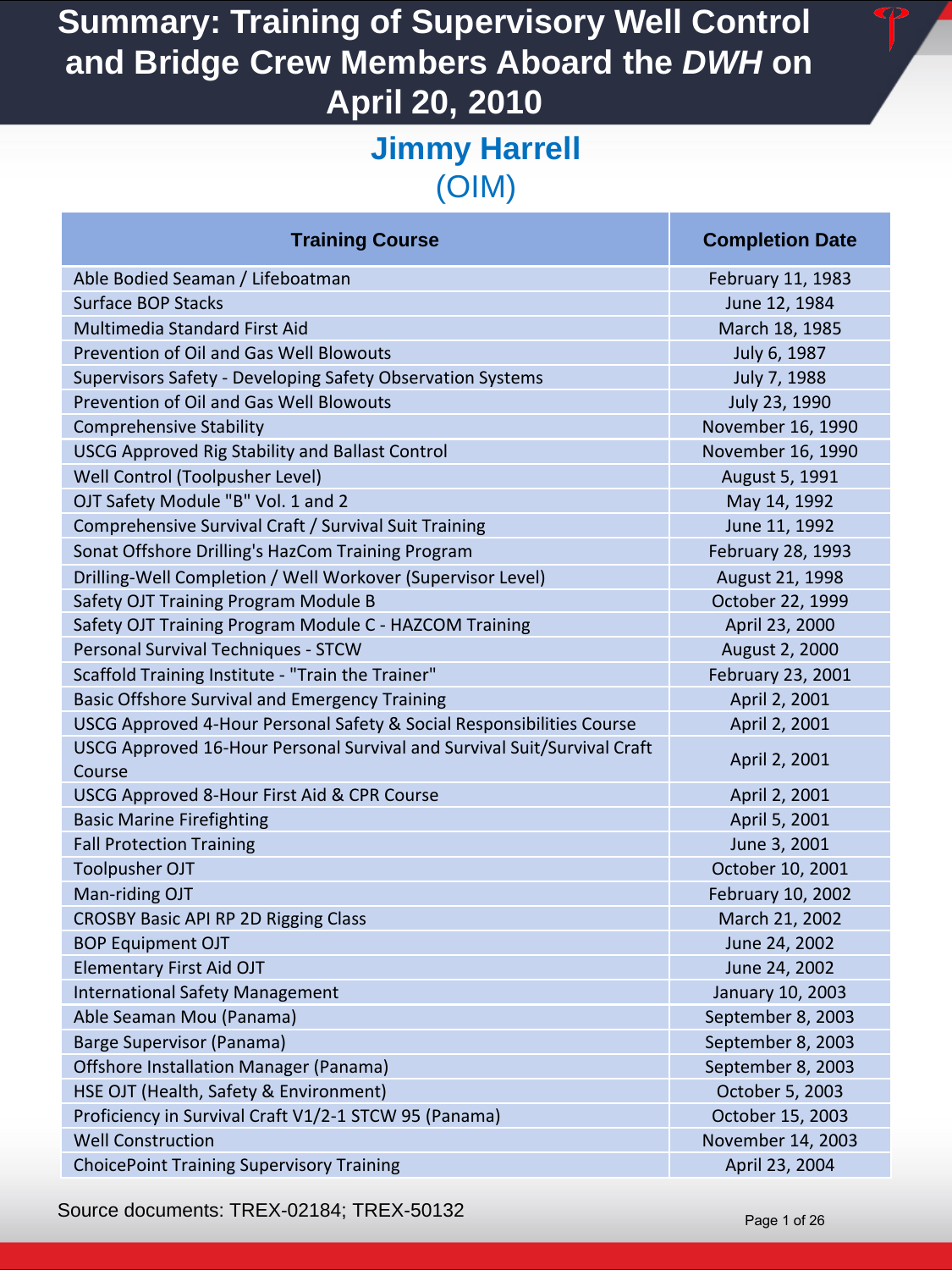#### **Jimmy Harrell**  (OIM)

| <b>Training Course</b>                                                             | <b>Completion Date</b> |
|------------------------------------------------------------------------------------|------------------------|
| Able Bodied Seaman / Lifeboatman                                                   | February 11, 1983      |
| <b>Surface BOP Stacks</b>                                                          | June 12, 1984          |
| <b>Multimedia Standard First Aid</b>                                               | March 18, 1985         |
| Prevention of Oil and Gas Well Blowouts                                            | July 6, 1987           |
| Supervisors Safety - Developing Safety Observation Systems                         | July 7, 1988           |
| Prevention of Oil and Gas Well Blowouts                                            | July 23, 1990          |
| <b>Comprehensive Stability</b>                                                     | November 16, 1990      |
| <b>USCG Approved Rig Stability and Ballast Control</b>                             | November 16, 1990      |
| Well Control (Toolpusher Level)                                                    | August 5, 1991         |
| OJT Safety Module "B" Vol. 1 and 2                                                 | May 14, 1992           |
| Comprehensive Survival Craft / Survival Suit Training                              | June 11, 1992          |
| Sonat Offshore Drilling's HazCom Training Program                                  | February 28, 1993      |
| Drilling-Well Completion / Well Workover (Supervisor Level)                        | August 21, 1998        |
| Safety OJT Training Program Module B                                               | October 22, 1999       |
| Safety OJT Training Program Module C - HAZCOM Training                             | April 23, 2000         |
| Personal Survival Techniques - STCW                                                | August 2, 2000         |
| Scaffold Training Institute - "Train the Trainer"                                  | February 23, 2001      |
| <b>Basic Offshore Survival and Emergency Training</b>                              | April 2, 2001          |
| USCG Approved 4-Hour Personal Safety & Social Responsibilities Course              | April 2, 2001          |
| USCG Approved 16-Hour Personal Survival and Survival Suit/Survival Craft<br>Course | April 2, 2001          |
| USCG Approved 8-Hour First Aid & CPR Course                                        | April 2, 2001          |
| <b>Basic Marine Firefighting</b>                                                   | April 5, 2001          |
| <b>Fall Protection Training</b>                                                    | June 3, 2001           |
| <b>Toolpusher OJT</b>                                                              | October 10, 2001       |
| Man-riding OJT                                                                     | February 10, 2002      |
| <b>CROSBY Basic API RP 2D Rigging Class</b>                                        | March 21, 2002         |
| <b>BOP Equipment OJT</b>                                                           | June 24, 2002          |
| <b>Elementary First Aid OJT</b>                                                    | June 24, 2002          |
| <b>International Safety Management</b>                                             | January 10, 2003       |
| Able Seaman Mou (Panama)                                                           | September 8, 2003      |
| <b>Barge Supervisor (Panama)</b>                                                   | September 8, 2003      |
| Offshore Installation Manager (Panama)                                             | September 8, 2003      |
| HSE OJT (Health, Safety & Environment)                                             | October 5, 2003        |
| Proficiency in Survival Craft V1/2-1 STCW 95 (Panama)                              | October 15, 2003       |
| <b>Well Construction</b>                                                           | November 14, 2003      |
| <b>ChoicePoint Training Supervisory Training</b>                                   | April 23, 2004         |

Source documents: TREX-02184; TREX-50132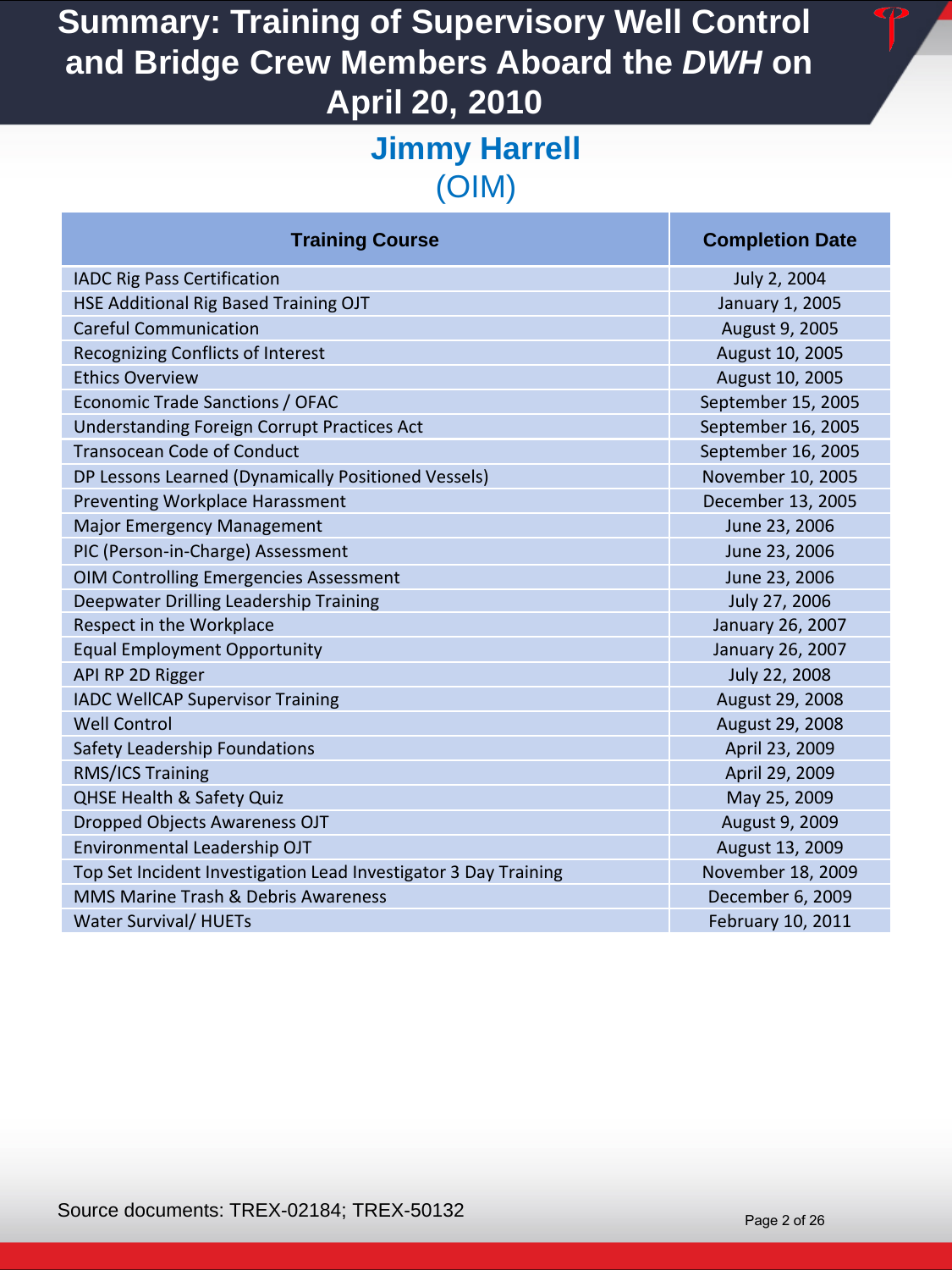#### **Jimmy Harrell**  (OIM)

| <b>Training Course</b>                                          | <b>Completion Date</b> |
|-----------------------------------------------------------------|------------------------|
| <b>IADC Rig Pass Certification</b>                              | July 2, 2004           |
| HSE Additional Rig Based Training OJT                           | January 1, 2005        |
| <b>Careful Communication</b>                                    | August 9, 2005         |
| Recognizing Conflicts of Interest                               | August 10, 2005        |
| <b>Ethics Overview</b>                                          | August 10, 2005        |
| Economic Trade Sanctions / OFAC                                 | September 15, 2005     |
| <b>Understanding Foreign Corrupt Practices Act</b>              | September 16, 2005     |
| <b>Transocean Code of Conduct</b>                               | September 16, 2005     |
| DP Lessons Learned (Dynamically Positioned Vessels)             | November 10, 2005      |
| Preventing Workplace Harassment                                 | December 13, 2005      |
| Major Emergency Management                                      | June 23, 2006          |
| PIC (Person-in-Charge) Assessment                               | June 23, 2006          |
| <b>OIM Controlling Emergencies Assessment</b>                   | June 23, 2006          |
| Deepwater Drilling Leadership Training                          | July 27, 2006          |
| Respect in the Workplace                                        | January 26, 2007       |
| <b>Equal Employment Opportunity</b>                             | January 26, 2007       |
| API RP 2D Rigger                                                | July 22, 2008          |
| <b>IADC WellCAP Supervisor Training</b>                         | August 29, 2008        |
| <b>Well Control</b>                                             | August 29, 2008        |
| Safety Leadership Foundations                                   | April 23, 2009         |
| RMS/ICS Training                                                | April 29, 2009         |
| <b>QHSE Health &amp; Safety Quiz</b>                            | May 25, 2009           |
| <b>Dropped Objects Awareness OJT</b>                            | August 9, 2009         |
| Environmental Leadership OJT                                    | August 13, 2009        |
| Top Set Incident Investigation Lead Investigator 3 Day Training | November 18, 2009      |
| MMS Marine Trash & Debris Awareness                             | December 6, 2009       |
| <b>Water Survival/ HUETs</b>                                    | February 10, 2011      |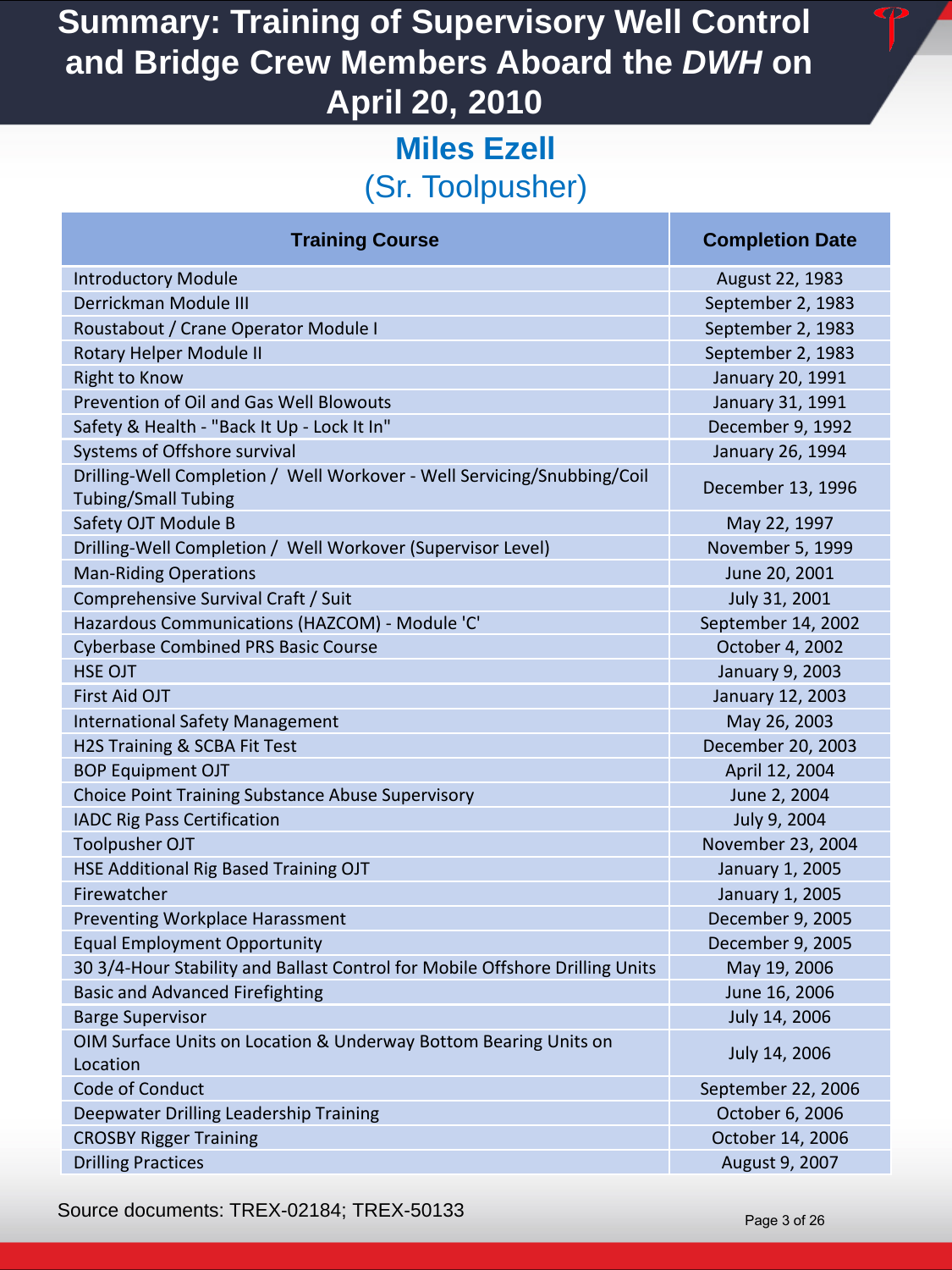### **Miles Ezell**  (Sr. Toolpusher)

| <b>Training Course</b>                                                                                | <b>Completion Date</b> |
|-------------------------------------------------------------------------------------------------------|------------------------|
| <b>Introductory Module</b>                                                                            | August 22, 1983        |
| Derrickman Module III                                                                                 | September 2, 1983      |
| Roustabout / Crane Operator Module I                                                                  | September 2, 1983      |
| Rotary Helper Module II                                                                               | September 2, 1983      |
| <b>Right to Know</b>                                                                                  | January 20, 1991       |
| Prevention of Oil and Gas Well Blowouts                                                               | January 31, 1991       |
| Safety & Health - "Back It Up - Lock It In"                                                           | December 9, 1992       |
| Systems of Offshore survival                                                                          | January 26, 1994       |
| Drilling-Well Completion / Well Workover - Well Servicing/Snubbing/Coil<br><b>Tubing/Small Tubing</b> | December 13, 1996      |
| Safety OJT Module B                                                                                   | May 22, 1997           |
| Drilling-Well Completion / Well Workover (Supervisor Level)                                           | November 5, 1999       |
| <b>Man-Riding Operations</b>                                                                          | June 20, 2001          |
| Comprehensive Survival Craft / Suit                                                                   | July 31, 2001          |
| Hazardous Communications (HAZCOM) - Module 'C'                                                        | September 14, 2002     |
| <b>Cyberbase Combined PRS Basic Course</b>                                                            | October 4, 2002        |
| <b>HSE OJT</b>                                                                                        | January 9, 2003        |
| First Aid OJT                                                                                         | January 12, 2003       |
| <b>International Safety Management</b>                                                                | May 26, 2003           |
| H2S Training & SCBA Fit Test                                                                          | December 20, 2003      |
| <b>BOP Equipment OJT</b>                                                                              | April 12, 2004         |
| <b>Choice Point Training Substance Abuse Supervisory</b>                                              | June 2, 2004           |
| <b>IADC Rig Pass Certification</b>                                                                    | July 9, 2004           |
| <b>Toolpusher OJT</b>                                                                                 | November 23, 2004      |
| HSE Additional Rig Based Training OJT                                                                 | January 1, 2005        |
| Firewatcher                                                                                           | January 1, 2005        |
| Preventing Workplace Harassment                                                                       | December 9, 2005       |
| <b>Equal Employment Opportunity</b>                                                                   | December 9, 2005       |
| 30 3/4-Hour Stability and Ballast Control for Mobile Offshore Drilling Units                          | May 19, 2006           |
| <b>Basic and Advanced Firefighting</b>                                                                | June 16, 2006          |
| <b>Barge Supervisor</b>                                                                               | July 14, 2006          |
| OIM Surface Units on Location & Underway Bottom Bearing Units on<br>Location                          | July 14, 2006          |
| Code of Conduct                                                                                       | September 22, 2006     |
| Deepwater Drilling Leadership Training                                                                | October 6, 2006        |
| <b>CROSBY Rigger Training</b>                                                                         | October 14, 2006       |
| <b>Drilling Practices</b>                                                                             | August 9, 2007         |

Source documents: TREX-02184; TREX-50133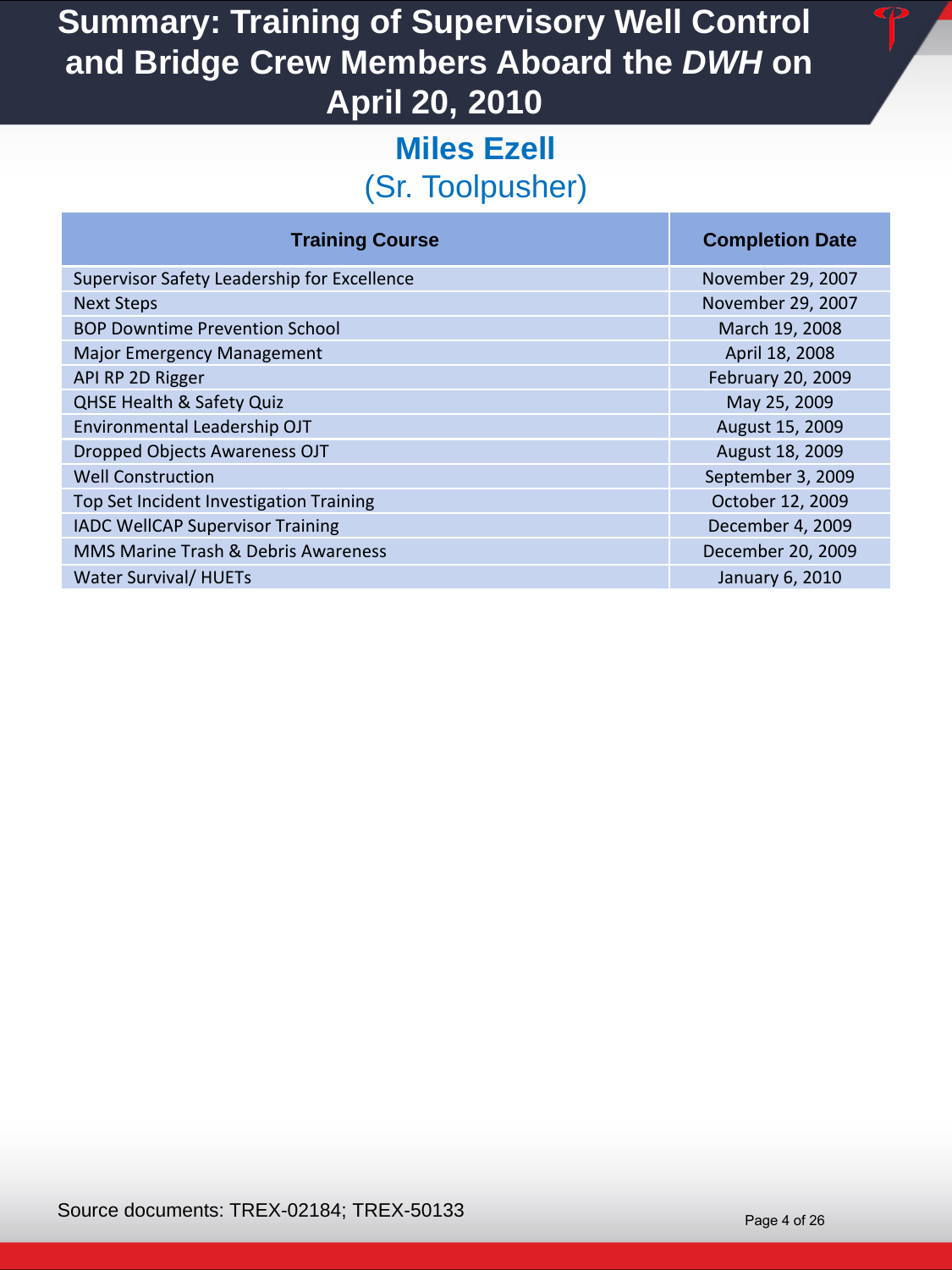## **Miles Ezell**  (Sr. Toolpusher)

|  |  | <b>Training Course</b> |
|--|--|------------------------|

| Supervisor Safety Leadership for Excellence |
|---------------------------------------------|
| <b>Next Steps</b>                           |
| <b>BOP Downtime Prevention School</b>       |
| <b>Major Emergency Management</b>           |
| API RP 2D Rigger                            |
| <b>QHSE Health &amp; Safety Quiz</b>        |
| Environmental Leadership OJT                |
| Dropped Objects Awareness OJT               |
| <b>Well Construction</b>                    |
| Top Set Incident Investigation Training     |
| <b>IADC WellCAP Supervisor Training</b>     |
| MMS Marine Trash & Debris Awareness         |
| <b>Water Survival/ HUETs</b>                |

#### **Completion Date**

November 29, 2007 November 29, 2007 March 19, 2008 April 18, 2008 February 20, 2009 May 25, 2009 August 15, 2009 August 18, 2009 September 3, 2009 October 12, 2009 December 4, 2009 December 20, 2009 January 6, 2010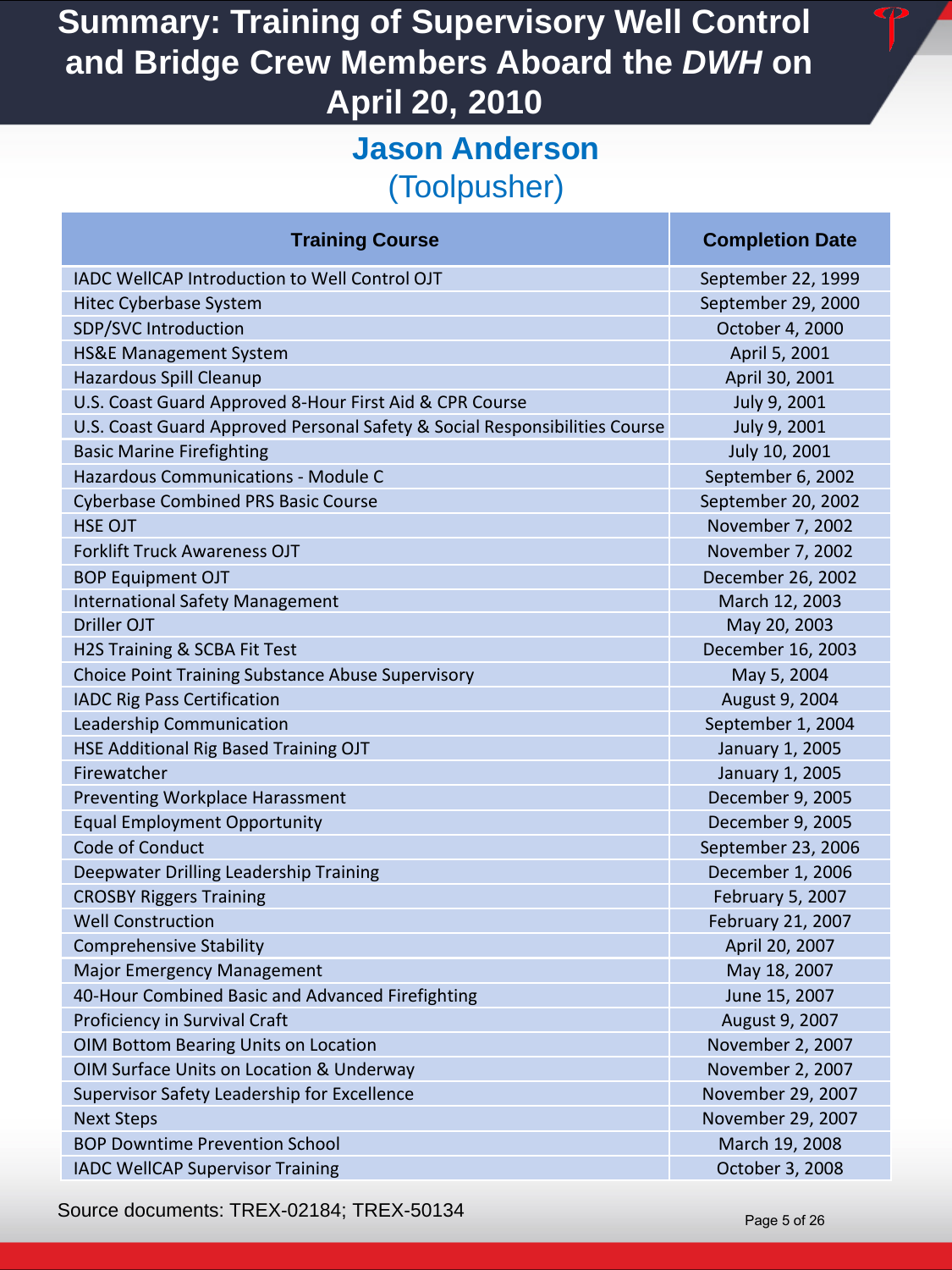#### **Jason Anderson**  (Toolpusher)

#### **Training Course Completion Date Completion Date** IADC WellCAP Introduction to Well Control OJT September 22, 1999 Hitec Cyberbase System September 29, 2000 SDP/SVC Introduction **SUP ACTION CONTROL** CONTROL CONTROL CONTROL CONTROL CONTROL CONTROL CONTROL CONTROL CONTROL CONTROL CONTROL CONTROL CONTROL CONTROL CONTROL CONTROL CONTROL CONTROL CONTROL CONTROL CONTROL CONTROL CONT HS&E Management System April 5, 2001 Hazardous Spill Cleanup April 30, 2001 November 2014 12:30 November 2014 12:30 November 2014 U.S. Coast Guard Approved 8-Hour First Aid & CPR Course July 9, 2001 U.S. Coast Guard Approved Personal Safety & Social Responsibilities Course July 9, 2001 Basic Marine Firefighting The Contract of Contract Contract of The Contract of The Contract of The July 10, 2001 Hazardous Communications - Module C New York Communications - Module C New York Communications - Module C New York Communications - Module C New York Communications - Module C New York Communications - Module C New York Co Cyberbase Combined PRS Basic Course September 20, 2002 HSE OJT NOVEMBER 7, 2002 Forklift Truck Awareness OJT November 7, 2002 BOP Equipment OJT December 26, 2002 International Safety Management March 12, 2003 Driller OJT May 20, 2003 H2S Training & SCBA Fit Test December 16, 2003 Choice Point Training Substance Abuse Supervisory May 1988 May 5, 2004 IADC Rig Pass Certification August 9, 2004 Leadership Communication September 1, 2004 HSE Additional Rig Based Training OJT **Fig. 1.2005 January 1, 2005** Firewatcher January 1, 2005 **Preventing Workplace Harassment December 9, 2005** Equal Employment Opportunity December 9, 2005 Code of Conduct **September 23, 2006** Deepwater Drilling Leadership Training December 1, 2006 **CROSBY Riggers Training February 5, 2007** CROSBY Riggers Training February 5, 2007 Well Construction February 21, 2007 **Comprehensive Stability April 20, 2007 April 20, 2007** Major Emergency Management May 18, 2007 May 18, 2007 40-Hour Combined Basic and Advanced Firefighting June 15, 2007 **Proficiency in Survival Craft August 9, 2007 August 9, 2007** OIM Bottom Bearing Units on Location November 2, 2007 OIM Surface Units on Location & Underway November 2, 2007 Supervisor Safety Leadership for Excellence November 29, 2007 Next Steps November 29, 2007 BOP Downtime Prevention School March 19, 2008 **IADC WellCAP Supervisor Training Community Community Community Community Community Community Community Community**

Source documents: TREX-02184; TREX-50134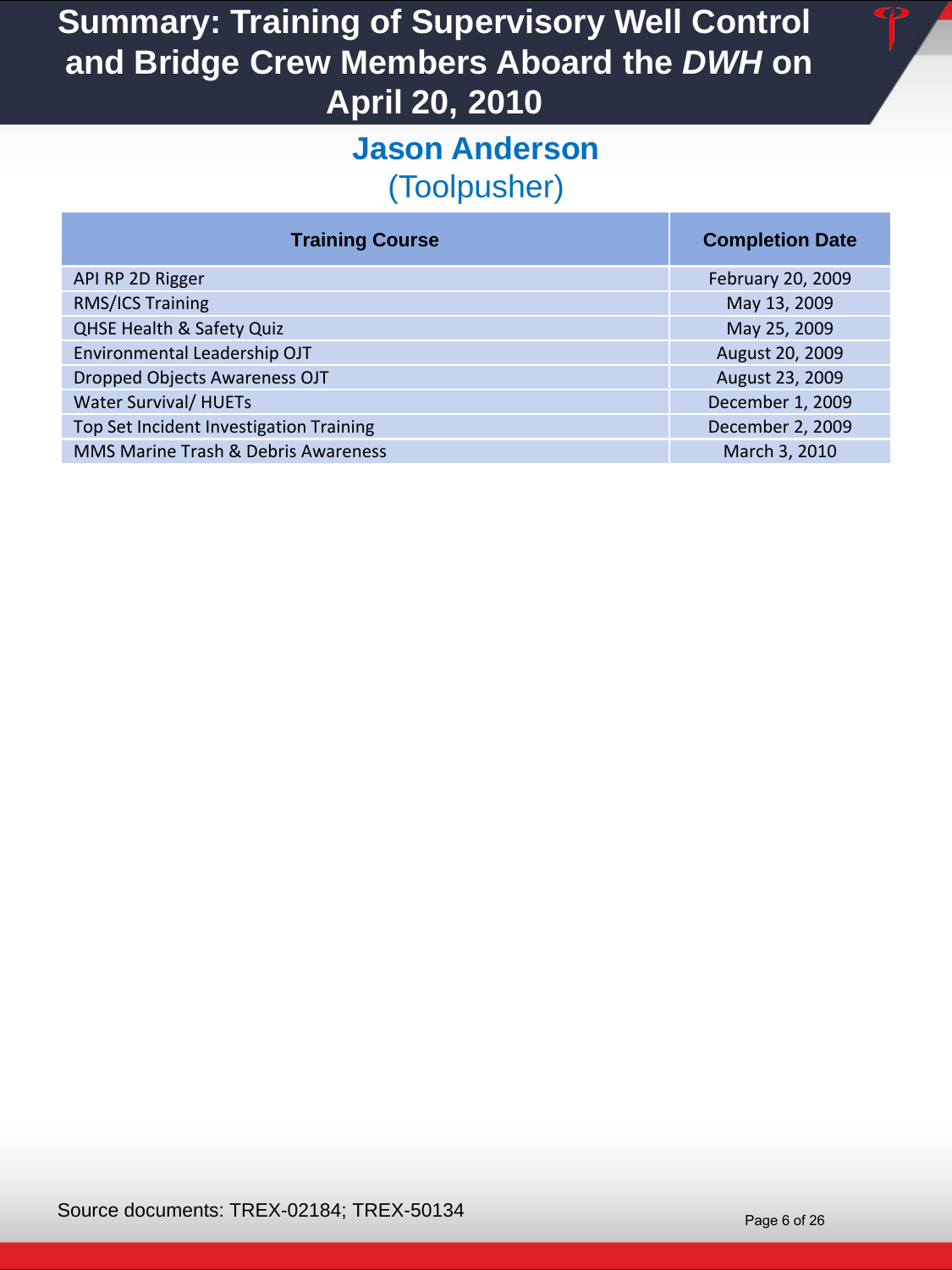#### **Jason Anderson**  (Toolpusher)

| <b>Training Course</b>                  | <b>Completion Date</b> |
|-----------------------------------------|------------------------|
| API RP 2D Rigger                        | February 20, 2009      |
| <b>RMS/ICS Training</b>                 | May 13, 2009           |
| <b>QHSE Health &amp; Safety Quiz</b>    | May 25, 2009           |
| Environmental Leadership OJT            | August 20, 2009        |
| Dropped Objects Awareness OJT           | August 23, 2009        |
| <b>Water Survival/ HUETs</b>            | December 1, 2009       |
| Top Set Incident Investigation Training | December 2, 2009       |
| MMS Marine Trash & Debris Awareness     | March 3, 2010          |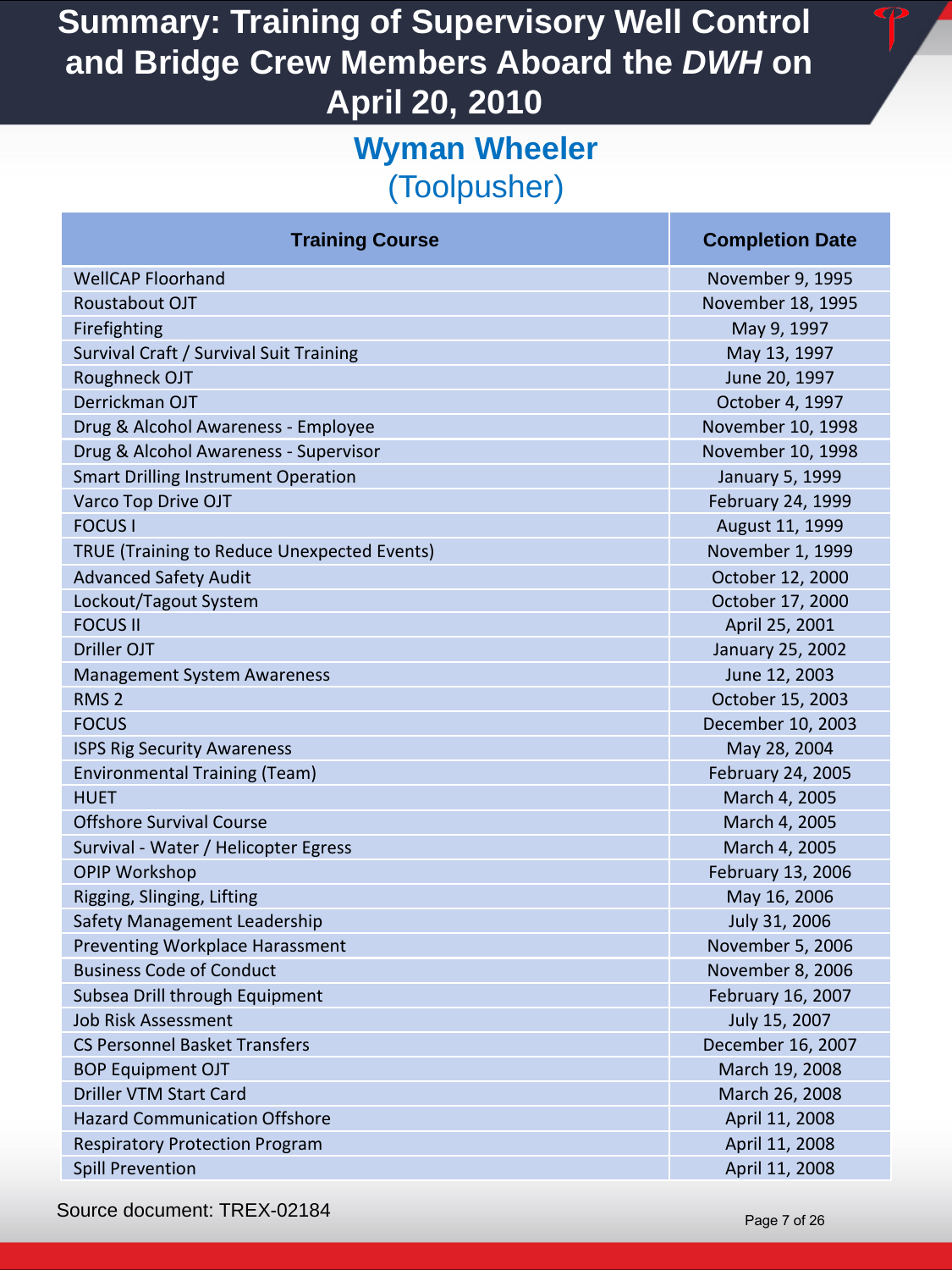#### **Wyman Wheeler**  (Toolpusher)

| <b>Training Course</b>                             | ι |
|----------------------------------------------------|---|
| <b>WellCAP Floorhand</b>                           |   |
| Roustabout OJT                                     | N |
| Firefighting                                       |   |
| Survival Craft / Survival Suit Training            |   |
| Roughneck OJT                                      |   |
| Derrickman OJT                                     |   |
| Drug & Alcohol Awareness - Employee                | Ņ |
| Drug & Alcohol Awareness - Supervisor              | Ν |
| <b>Smart Drilling Instrument Operation</b>         |   |
| Varco Top Drive OJT                                |   |
| <b>FOCUS</b>                                       |   |
| <b>TRUE (Training to Reduce Unexpected Events)</b> |   |
| <b>Advanced Safety Audit</b>                       |   |
| Lockout/Tagout System                              |   |
| <b>FOCUS II</b>                                    |   |
| <b>Driller OJT</b>                                 |   |
| <b>Management System Awareness</b>                 |   |
| RMS <sub>2</sub>                                   |   |
| <b>FOCUS</b>                                       | L |
| <b>ISPS Rig Security Awareness</b>                 |   |
| <b>Environmental Training (Team)</b>               |   |
| <b>HUET</b>                                        |   |
| <b>Offshore Survival Course</b>                    |   |
| Survival - Water / Helicopter Egress               |   |
| <b>OPIP Workshop</b>                               |   |
| Rigging, Slinging, Lifting                         |   |
| Safety Management Leadership                       |   |
| <b>Preventing Workplace Harassment</b>             |   |
| <b>Business Code of Conduct</b>                    |   |
| Subsea Drill through Equipment                     |   |
| <b>Job Risk Assessment</b>                         |   |
| <b>CS Personnel Basket Transfers</b>               | С |
| <b>BOP Equipment OJT</b>                           |   |
| <b>Driller VTM Start Card</b>                      |   |
| <b>Hazard Communication Offshore</b>               |   |
| <b>Respiratory Protection Program</b>              |   |
| <b>Spill Prevention</b>                            |   |

#### **Completion Date**

November 9, 1995 Iovember 18, 1995 May 9, 1997 May 13, 1997 June 20, 1997 October 4, 1997 Iovember 10, 1998 Iovember 10, 1998 January 5, 1999 February 24, 1999 August 11, 1999 November 1, 1999 **October 12, 2000** October 17, 2000 April 25, 2001 January 25, 2002 June 12, 2003 October 15, 2003 ecember 10, 2003 May 28, 2004 February 24, 2005 March 4, 2005 March 4, 2005 March 4, 2005 February 13, 2006 May 16, 2006 July 31, 2006 November 5, 2006 November 8, 2006 February 16, 2007 July 15, 2007 ecember 16, 2007 March 19, 2008 March 26, 2008 April 11, 2008 April 11, 2008 April 11, 2008

Source document: TREX-02184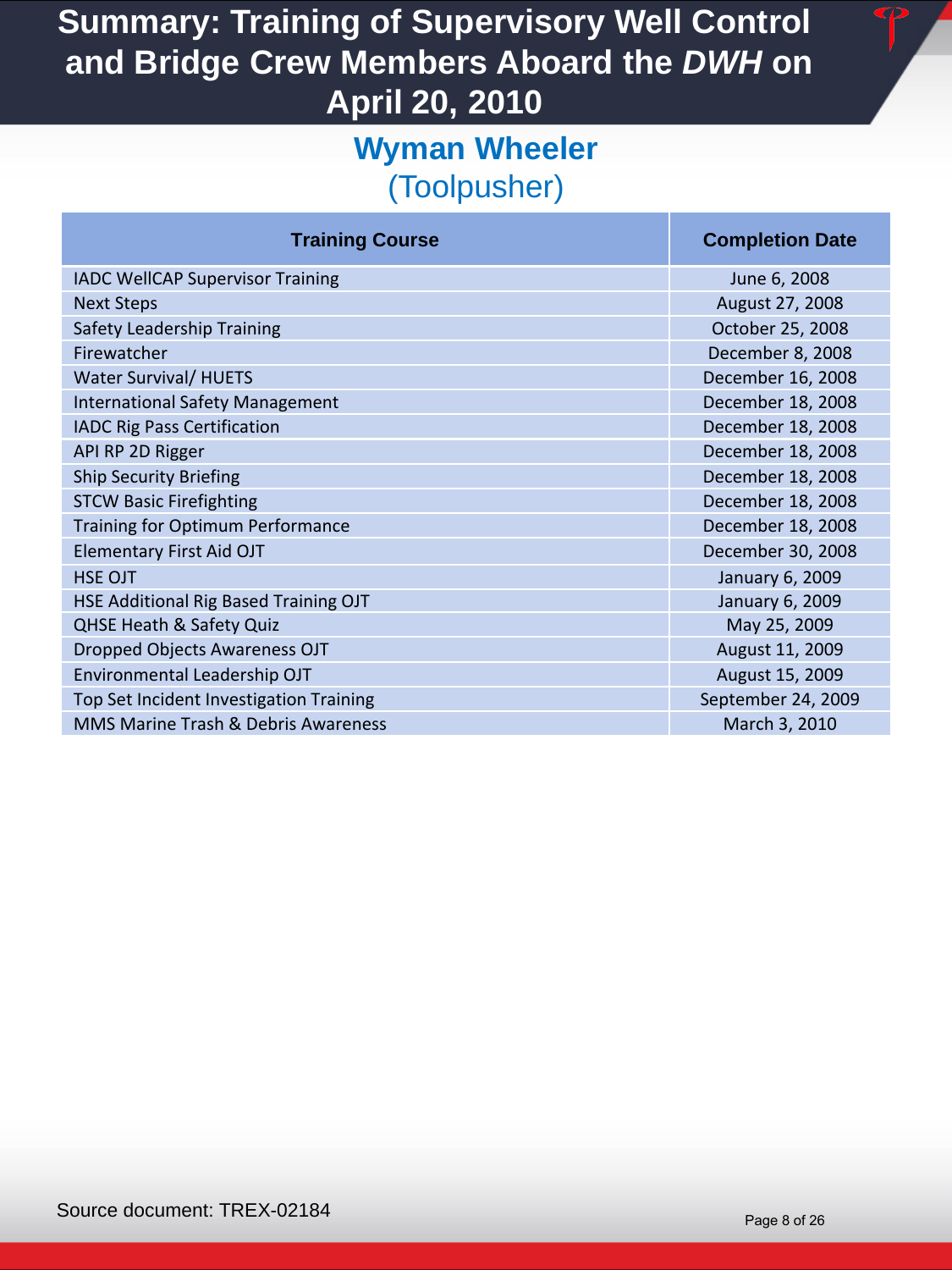### **Wyman Wheeler**  (Toolpusher)

| <b>Training Course</b>                  | <b>Completion Date</b> |
|-----------------------------------------|------------------------|
| <b>IADC WellCAP Supervisor Training</b> | June 6, 2008           |
| <b>Next Steps</b>                       | August 27, 2008        |
| Safety Leadership Training              | October 25, 2008       |
| Firewatcher                             | December 8, 2008       |
| <b>Water Survival/ HUETS</b>            | December 16, 2008      |
| <b>International Safety Management</b>  | December 18, 2008      |
| <b>IADC Rig Pass Certification</b>      | December 18, 2008      |
| API RP 2D Rigger                        | December 18, 2008      |
| <b>Ship Security Briefing</b>           | December 18, 2008      |
| <b>STCW Basic Firefighting</b>          | December 18, 2008      |
| Training for Optimum Performance        | December 18, 2008      |
| <b>Elementary First Aid OJT</b>         | December 30, 2008      |
| <b>HSE OJT</b>                          | January 6, 2009        |
| HSE Additional Rig Based Training OJT   | January 6, 2009        |
| <b>QHSE Heath &amp; Safety Quiz</b>     | May 25, 2009           |
| Dropped Objects Awareness OJT           | August 11, 2009        |
| Environmental Leadership OJT            | August 15, 2009        |
| Top Set Incident Investigation Training | September 24, 2009     |
| MMS Marine Trash & Debris Awareness     | March 3, 2010          |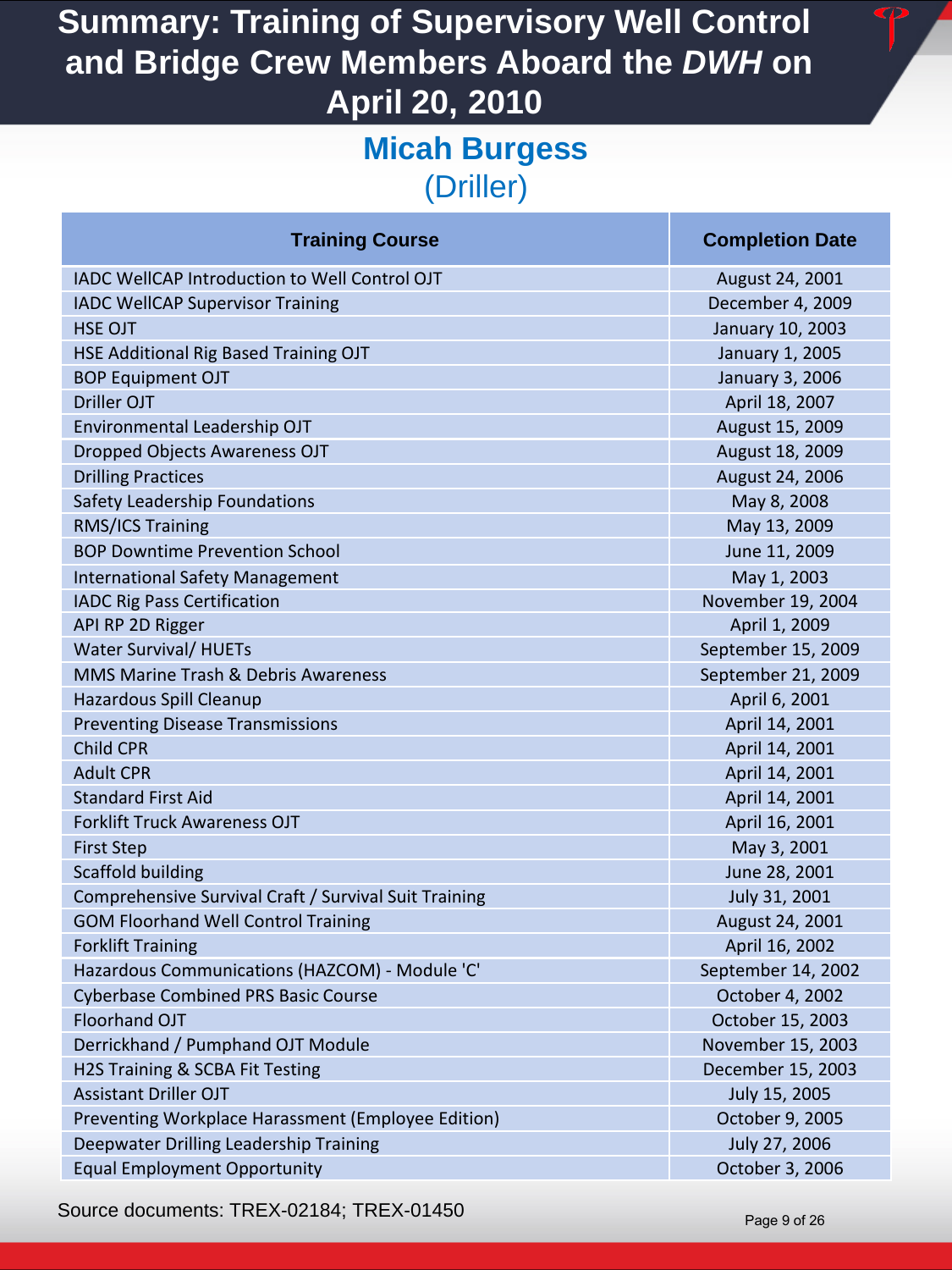#### **Micah Burgess**  (Driller)

| <b>Training Course</b>                                | <b>Completion Date</b> |
|-------------------------------------------------------|------------------------|
| IADC WellCAP Introduction to Well Control OJT         | August 24, 2001        |
| <b>IADC WellCAP Supervisor Training</b>               | December 4, 2009       |
| <b>HSE OJT</b>                                        | January 10, 2003       |
| HSE Additional Rig Based Training OJT                 | January 1, 2005        |
| <b>BOP Equipment OJT</b>                              | January 3, 2006        |
| <b>Driller OJT</b>                                    | April 18, 2007         |
| Environmental Leadership OJT                          | August 15, 2009        |
| <b>Dropped Objects Awareness OJT</b>                  | August 18, 2009        |
| <b>Drilling Practices</b>                             | August 24, 2006        |
| Safety Leadership Foundations                         | May 8, 2008            |
| RMS/ICS Training                                      | May 13, 2009           |
| <b>BOP Downtime Prevention School</b>                 | June 11, 2009          |
| <b>International Safety Management</b>                | May 1, 2003            |
| <b>IADC Rig Pass Certification</b>                    | November 19, 2004      |
| API RP 2D Rigger                                      | April 1, 2009          |
| <b>Water Survival/ HUETs</b>                          | September 15, 2009     |
| MMS Marine Trash & Debris Awareness                   | September 21, 2009     |
| Hazardous Spill Cleanup                               | April 6, 2001          |
| <b>Preventing Disease Transmissions</b>               | April 14, 2001         |
| <b>Child CPR</b>                                      | April 14, 2001         |
| <b>Adult CPR</b>                                      | April 14, 2001         |
| <b>Standard First Aid</b>                             | April 14, 2001         |
| <b>Forklift Truck Awareness OJT</b>                   | April 16, 2001         |
| <b>First Step</b>                                     | May 3, 2001            |
| <b>Scaffold building</b>                              | June 28, 2001          |
| Comprehensive Survival Craft / Survival Suit Training | July 31, 2001          |
| <b>GOM Floorhand Well Control Training</b>            | August 24, 2001        |
| <b>Forklift Training</b>                              | April 16, 2002         |
| Hazardous Communications (HAZCOM) - Module 'C'        | September 14, 2002     |
| <b>Cyberbase Combined PRS Basic Course</b>            | October 4, 2002        |
| Floorhand OJT                                         | October 15, 2003       |
| Derrickhand / Pumphand OJT Module                     | November 15, 2003      |
| H2S Training & SCBA Fit Testing                       | December 15, 2003      |
| <b>Assistant Driller OJT</b>                          | July 15, 2005          |
| Preventing Workplace Harassment (Employee Edition)    | October 9, 2005        |
| Deepwater Drilling Leadership Training                | July 27, 2006          |
| <b>Equal Employment Opportunity</b>                   | October 3, 2006        |

Source documents: TREX-02184; TREX-01450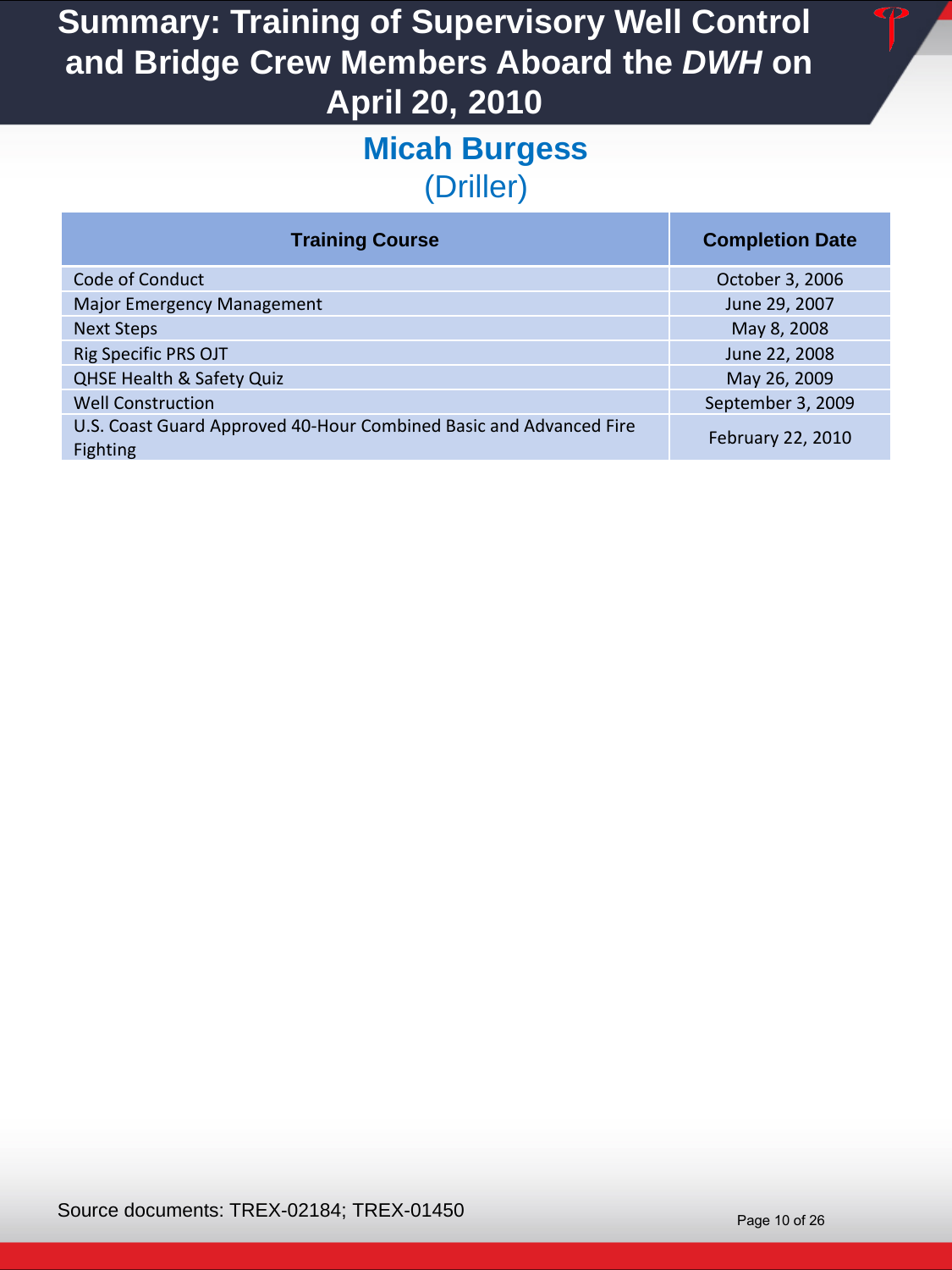#### **Micah Burgess**  (Driller)

| <b>Training Course</b>                                                                | <b>Completion Date</b> |
|---------------------------------------------------------------------------------------|------------------------|
| Code of Conduct                                                                       | October 3, 2006        |
| <b>Major Emergency Management</b>                                                     | June 29, 2007          |
| <b>Next Steps</b>                                                                     | May 8, 2008            |
| <b>Rig Specific PRS OJT</b>                                                           | June 22, 2008          |
| <b>QHSE Health &amp; Safety Quiz</b>                                                  | May 26, 2009           |
| <b>Well Construction</b>                                                              | September 3, 2009      |
| U.S. Coast Guard Approved 40-Hour Combined Basic and Advanced Fire<br><b>Fighting</b> | February 22, 2010      |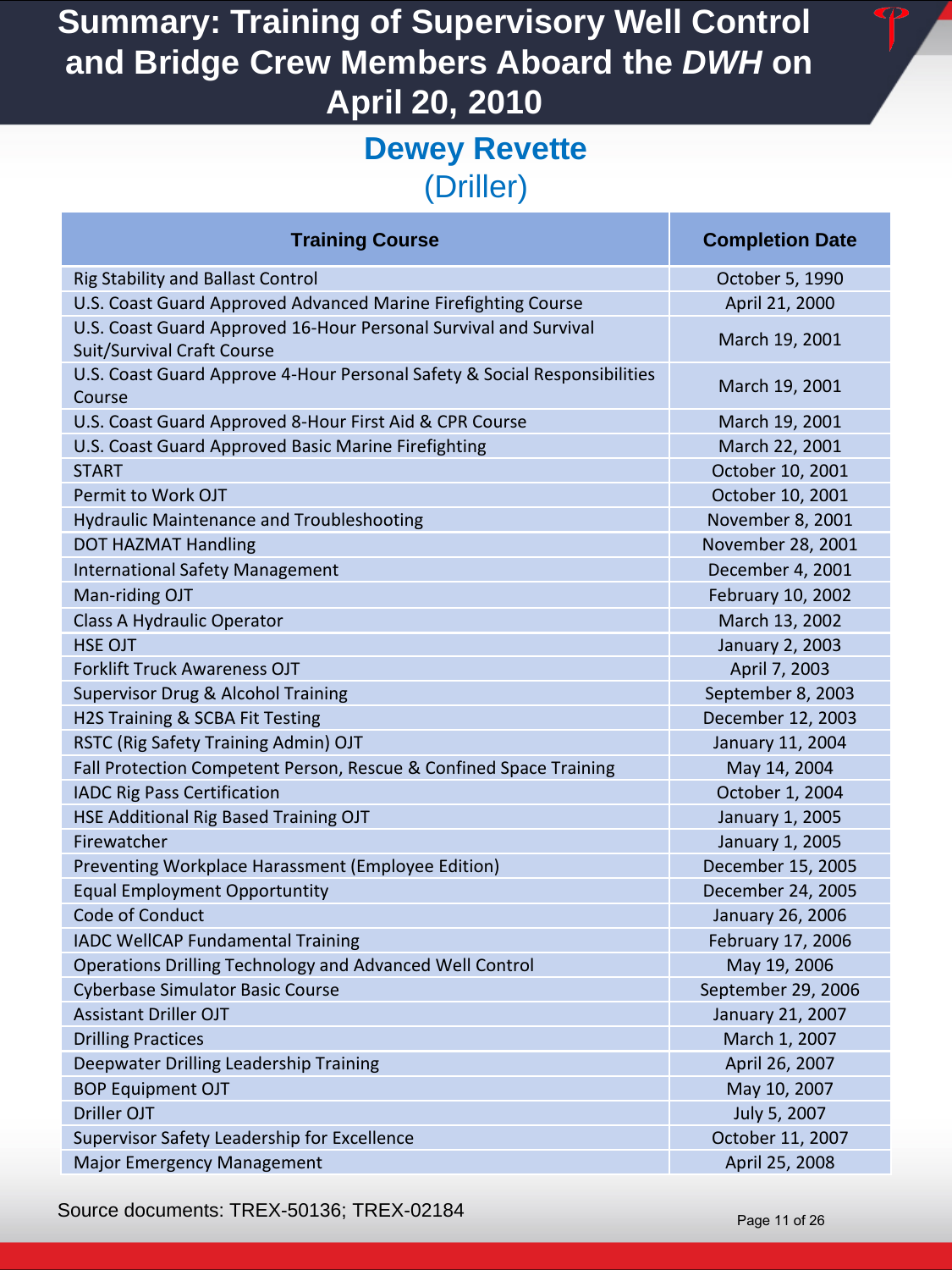#### **Dewey Revette**  (Driller)

| <b>Training Course</b>                                                                                | <b>Completion Date</b> |
|-------------------------------------------------------------------------------------------------------|------------------------|
| <b>Rig Stability and Ballast Control</b>                                                              | October 5, 1990        |
| U.S. Coast Guard Approved Advanced Marine Firefighting Course                                         | April 21, 2000         |
| U.S. Coast Guard Approved 16-Hour Personal Survival and Survival<br><b>Suit/Survival Craft Course</b> | March 19, 2001         |
| U.S. Coast Guard Approve 4-Hour Personal Safety & Social Responsibilities<br>Course                   | March 19, 2001         |
| U.S. Coast Guard Approved 8-Hour First Aid & CPR Course                                               | March 19, 2001         |
| U.S. Coast Guard Approved Basic Marine Firefighting                                                   | March 22, 2001         |
| <b>START</b>                                                                                          | October 10, 2001       |
| Permit to Work OJT                                                                                    | October 10, 2001       |
| <b>Hydraulic Maintenance and Troubleshooting</b>                                                      | November 8, 2001       |
| <b>DOT HAZMAT Handling</b>                                                                            | November 28, 2001      |
| <b>International Safety Management</b>                                                                | December 4, 2001       |
| Man-riding OJT                                                                                        | February 10, 2002      |
| Class A Hydraulic Operator                                                                            | March 13, 2002         |
| <b>HSE OJT</b>                                                                                        | January 2, 2003        |
| <b>Forklift Truck Awareness OJT</b>                                                                   | April 7, 2003          |
| Supervisor Drug & Alcohol Training                                                                    | September 8, 2003      |
| H2S Training & SCBA Fit Testing                                                                       | December 12, 2003      |
| RSTC (Rig Safety Training Admin) OJT                                                                  | January 11, 2004       |
| Fall Protection Competent Person, Rescue & Confined Space Training                                    | May 14, 2004           |
| <b>IADC Rig Pass Certification</b>                                                                    | October 1, 2004        |
| HSE Additional Rig Based Training OJT                                                                 | January 1, 2005        |
| Firewatcher                                                                                           | January 1, 2005        |
| Preventing Workplace Harassment (Employee Edition)                                                    | December 15, 2005      |
| <b>Equal Employment Opportuntity</b>                                                                  | December 24, 2005      |
| Code of Conduct                                                                                       | January 26, 2006       |
| <b>IADC WellCAP Fundamental Training</b>                                                              | February 17, 2006      |
| Operations Drilling Technology and Advanced Well Control                                              | May 19, 2006           |
| <b>Cyberbase Simulator Basic Course</b>                                                               | September 29, 2006     |
| <b>Assistant Driller OJT</b>                                                                          | January 21, 2007       |
| <b>Drilling Practices</b>                                                                             | March 1, 2007          |
| Deepwater Drilling Leadership Training                                                                | April 26, 2007         |
| <b>BOP Equipment OJT</b>                                                                              | May 10, 2007           |
| Driller OJT                                                                                           | July 5, 2007           |
| Supervisor Safety Leadership for Excellence                                                           | October 11, 2007       |
| Major Emergency Management                                                                            | April 25, 2008         |

Source documents: TREX-50136; TREX-02184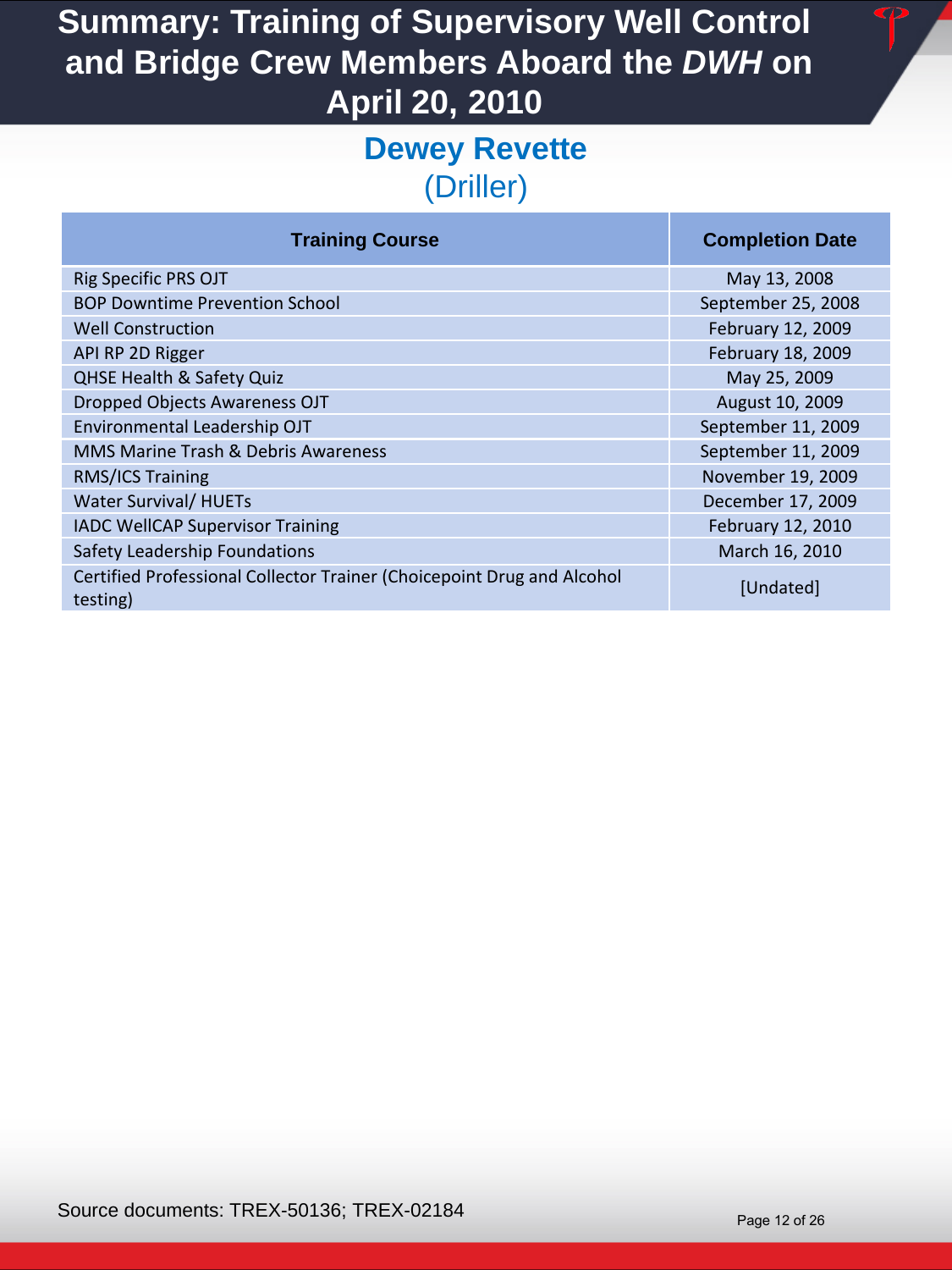#### **Dewey Revette**  (Driller)

| <b>Training Course</b>                                                             | <b>Completion Date</b> |
|------------------------------------------------------------------------------------|------------------------|
| Rig Specific PRS OJT                                                               | May 13, 2008           |
| <b>BOP Downtime Prevention School</b>                                              | September 25, 2008     |
| <b>Well Construction</b>                                                           | February 12, 2009      |
| API RP 2D Rigger                                                                   | February 18, 2009      |
| <b>QHSE Health &amp; Safety Quiz</b>                                               | May 25, 2009           |
| <b>Dropped Objects Awareness OJT</b>                                               | August 10, 2009        |
| Environmental Leadership OJT                                                       | September 11, 2009     |
| <b>MMS Marine Trash &amp; Debris Awareness</b>                                     | September 11, 2009     |
| RMS/ICS Training                                                                   | November 19, 2009      |
| <b>Water Survival/ HUETs</b>                                                       | December 17, 2009      |
| <b>IADC WellCAP Supervisor Training</b>                                            | February 12, 2010      |
| Safety Leadership Foundations                                                      | March 16, 2010         |
| Certified Professional Collector Trainer (Choicepoint Drug and Alcohol<br>testing) | [Undated]              |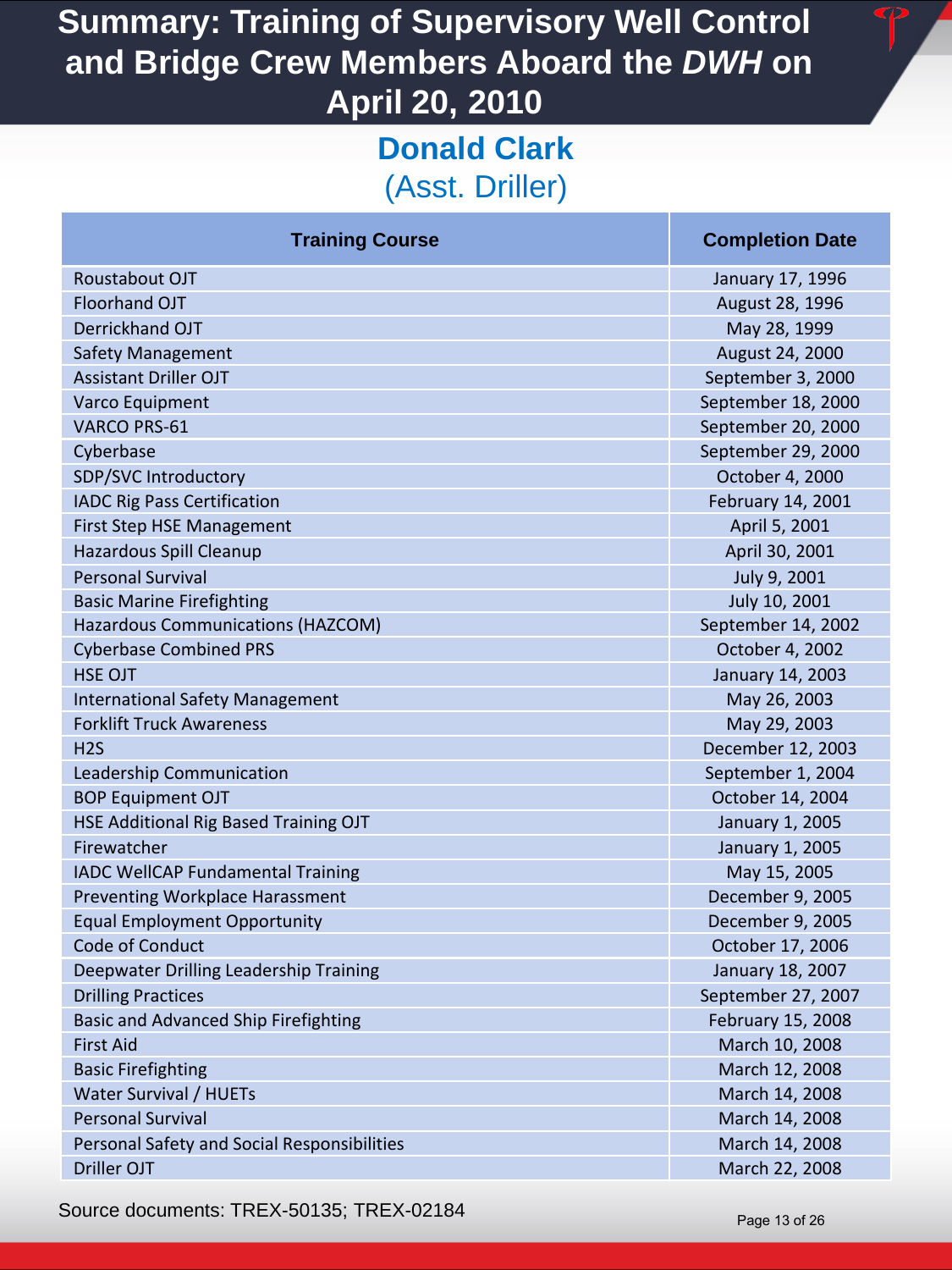### **Donald Clark**  (Asst. Driller)

| <b>Training Course</b>                      | <b>Completion Date</b> |
|---------------------------------------------|------------------------|
| Roustabout OJT                              | January 17, 1996       |
| Floorhand OJT                               | August 28, 1996        |
| Derrickhand OJT                             | May 28, 1999           |
| <b>Safety Management</b>                    | August 24, 2000        |
| <b>Assistant Driller OJT</b>                | September 3, 2000      |
| Varco Equipment                             | September 18, 2000     |
| <b>VARCO PRS-61</b>                         | September 20, 2000     |
| Cyberbase                                   | September 29, 2000     |
| SDP/SVC Introductory                        | October 4, 2000        |
| <b>IADC Rig Pass Certification</b>          | February 14, 2001      |
| First Step HSE Management                   | April 5, 2001          |
| Hazardous Spill Cleanup                     | April 30, 2001         |
| <b>Personal Survival</b>                    | July 9, 2001           |
| <b>Basic Marine Firefighting</b>            | July 10, 2001          |
| Hazardous Communications (HAZCOM)           | September 14, 2002     |
| <b>Cyberbase Combined PRS</b>               | October 4, 2002        |
| <b>HSE OJT</b>                              | January 14, 2003       |
| <b>International Safety Management</b>      | May 26, 2003           |
| <b>Forklift Truck Awareness</b>             | May 29, 2003           |
| H <sub>2</sub> S                            | December 12, 2003      |
| Leadership Communication                    | September 1, 2004      |
| <b>BOP Equipment OJT</b>                    | October 14, 2004       |
| HSE Additional Rig Based Training OJT       | January 1, 2005        |
| Firewatcher                                 | January 1, 2005        |
| IADC WellCAP Fundamental Training           | May 15, 2005           |
| Preventing Workplace Harassment             | December 9, 2005       |
| <b>Equal Employment Opportunity</b>         | December 9, 2005       |
| Code of Conduct                             | October 17, 2006       |
| Deepwater Drilling Leadership Training      | January 18, 2007       |
| <b>Drilling Practices</b>                   | September 27, 2007     |
| <b>Basic and Advanced Ship Firefighting</b> | February 15, 2008      |
| <b>First Aid</b>                            | March 10, 2008         |
| <b>Basic Firefighting</b>                   | March 12, 2008         |
| Water Survival / HUETs                      | March 14, 2008         |
| <b>Personal Survival</b>                    | March 14, 2008         |
| Personal Safety and Social Responsibilities | March 14, 2008         |
| Driller OJT                                 | March 22, 2008         |

Source documents: TREX-50135; TREX-02184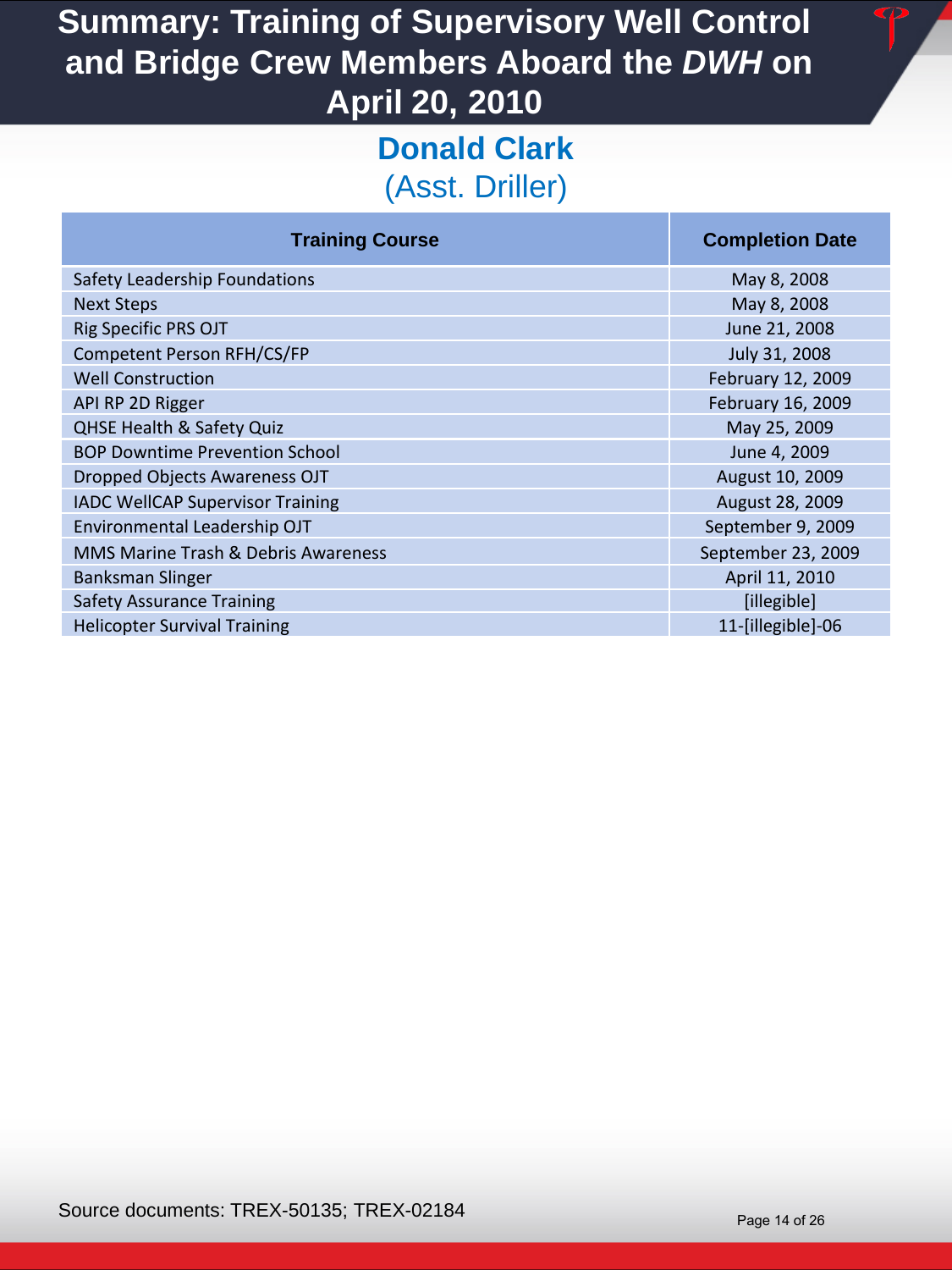### **Donald Clark**  (Asst. Driller)

| <b>Training Course</b>                  | <b>Completion Date</b> |
|-----------------------------------------|------------------------|
| Safety Leadership Foundations           | May 8, 2008            |
| <b>Next Steps</b>                       | May 8, 2008            |
| Rig Specific PRS OJT                    | June 21, 2008          |
| Competent Person RFH/CS/FP              | July 31, 2008          |
| <b>Well Construction</b>                | February 12, 2009      |
| API RP 2D Rigger                        | February 16, 2009      |
| QHSE Health & Safety Quiz               | May 25, 2009           |
| <b>BOP Downtime Prevention School</b>   | June 4, 2009           |
| <b>Dropped Objects Awareness OJT</b>    | August 10, 2009        |
| <b>IADC WellCAP Supervisor Training</b> | August 28, 2009        |
| Environmental Leadership OJT            | September 9, 2009      |
| MMS Marine Trash & Debris Awareness     | September 23, 2009     |
| <b>Banksman Slinger</b>                 | April 11, 2010         |
| <b>Safety Assurance Training</b>        | [illegible]            |
| <b>Helicopter Survival Training</b>     | 11-[illegible]-06      |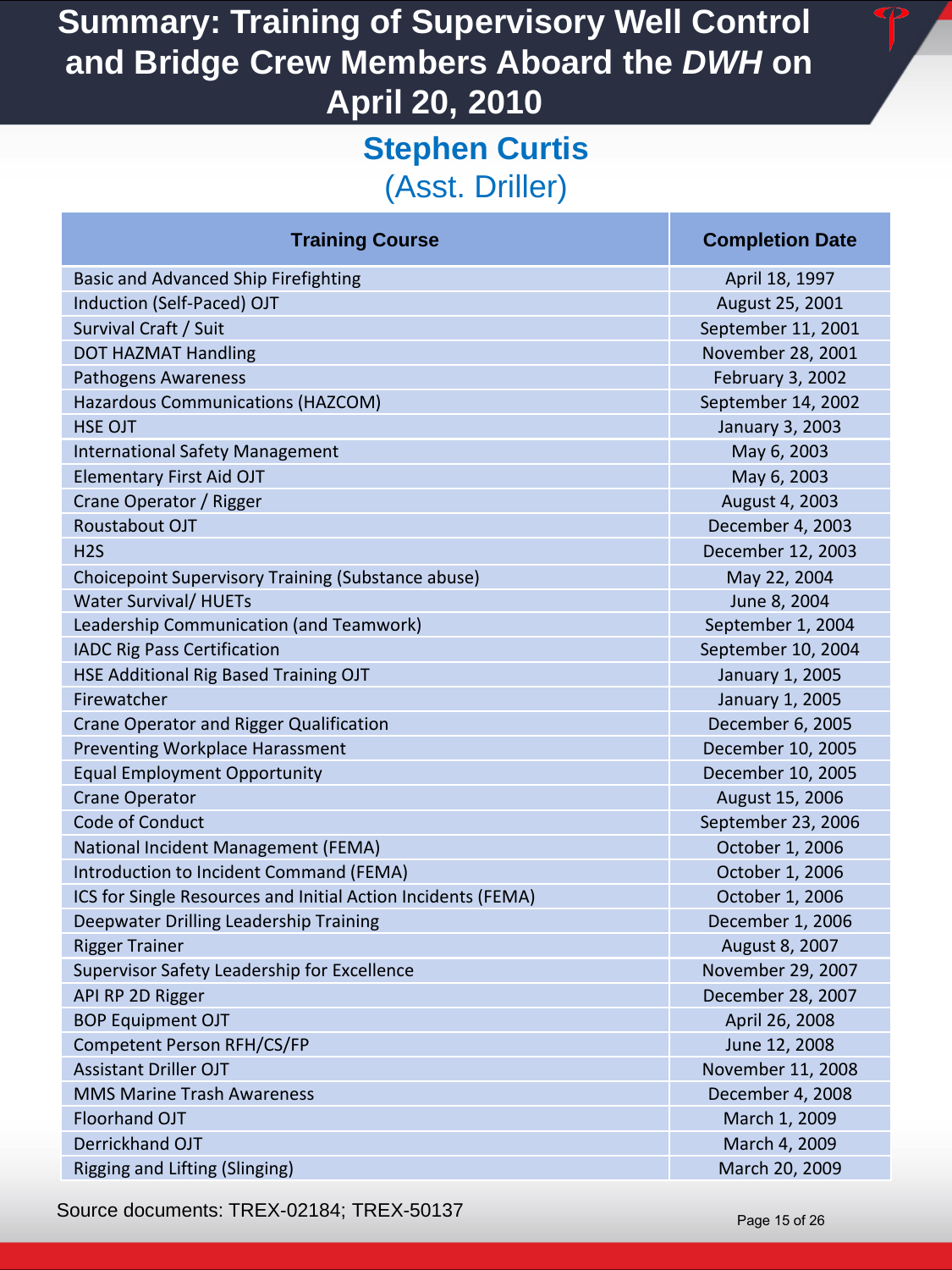### **Stephen Curtis**  (Asst. Driller)

| <b>Basic and Advanced Ship Firefighting</b>                |
|------------------------------------------------------------|
| Induction (Self-Paced) OJT                                 |
| Survival Craft / Suit                                      |
| <b>DOT HAZMAT Handling</b>                                 |
| <b>Pathogens Awareness</b>                                 |
| <b>Hazardous Communications (HAZCOM)</b>                   |
| <b>HSE OJT</b>                                             |
| <b>International Safety Management</b>                     |
| <b>Elementary First Aid OJT</b>                            |
| Crane Operator / Rigger                                    |
| Roustabout OJT                                             |
| H2S                                                        |
| Choicepoint Supervisory Training (Substance abuse)         |
| <b>Water Survival/ HUETs</b>                               |
| Leadership Communication (and Teamwork)                    |
| <b>IADC Rig Pass Certification</b>                         |
| HSE Additional Rig Based Training OJT                      |
| Firewatcher                                                |
| Crane Operator and Rigger Qualification                    |
| <b>Preventing Workplace Harassment</b>                     |
| <b>Equal Employment Opportunity</b>                        |
| <b>Crane Operator</b>                                      |
| Code of Conduct                                            |
| National Incident Management (FEMA)                        |
| Introduction to Incident Command (FEMA)                    |
| ICS for Single Resources and Initial Action Incidents (FEM |
| Deepwater Drilling Leadership Training                     |
| <b>Rigger Trainer</b>                                      |
| Supervisor Safety Leadership for Excellence                |
| API RP 2D Rigger                                           |
| <b>BOP Equipment OJT</b>                                   |
| Competent Person RFH/CS/FP                                 |
| <b>Assistant Driller OJT</b>                               |
| <b>MMS Marine Trash Awareness</b>                          |
| <b>Floorhand OJT</b>                                       |
| Derrickhand OJT                                            |
| Rigging and Lifting (Slinging)                             |

**Training Course Completion Date Completion Date** 

April 18, 1997 August 25, 2001 September 11, 2001 November 28, 2001 February 3, 2002 September 14, 2002 January 3, 2003 May 6, 2003 May 6, 2003 **August 4, 2003** December 4, 2003 December 12, 2003 May 22, 2004 June 8, 2004 September 1, 2004 September 10, 2004 January 1, 2005 January 1, 2005 December 6, 2005 December 10, 2005 December 10, 2005 August 15, 2006 September 23, 2006 October 1, 2006 **October 1, 2006** ICS for Single Resources and Initial Action Incidents (FEMA) October 1, 2006 December 1, 2006 **August 8, 2007** November 29, 2007 December 28, 2007 April 26, 2008 June 12, 2008 November 11, 2008 December 4, 2008 March 1, 2009 March 4, 2009 March 20, 2009

Source documents: TREX-02184; TREX-50137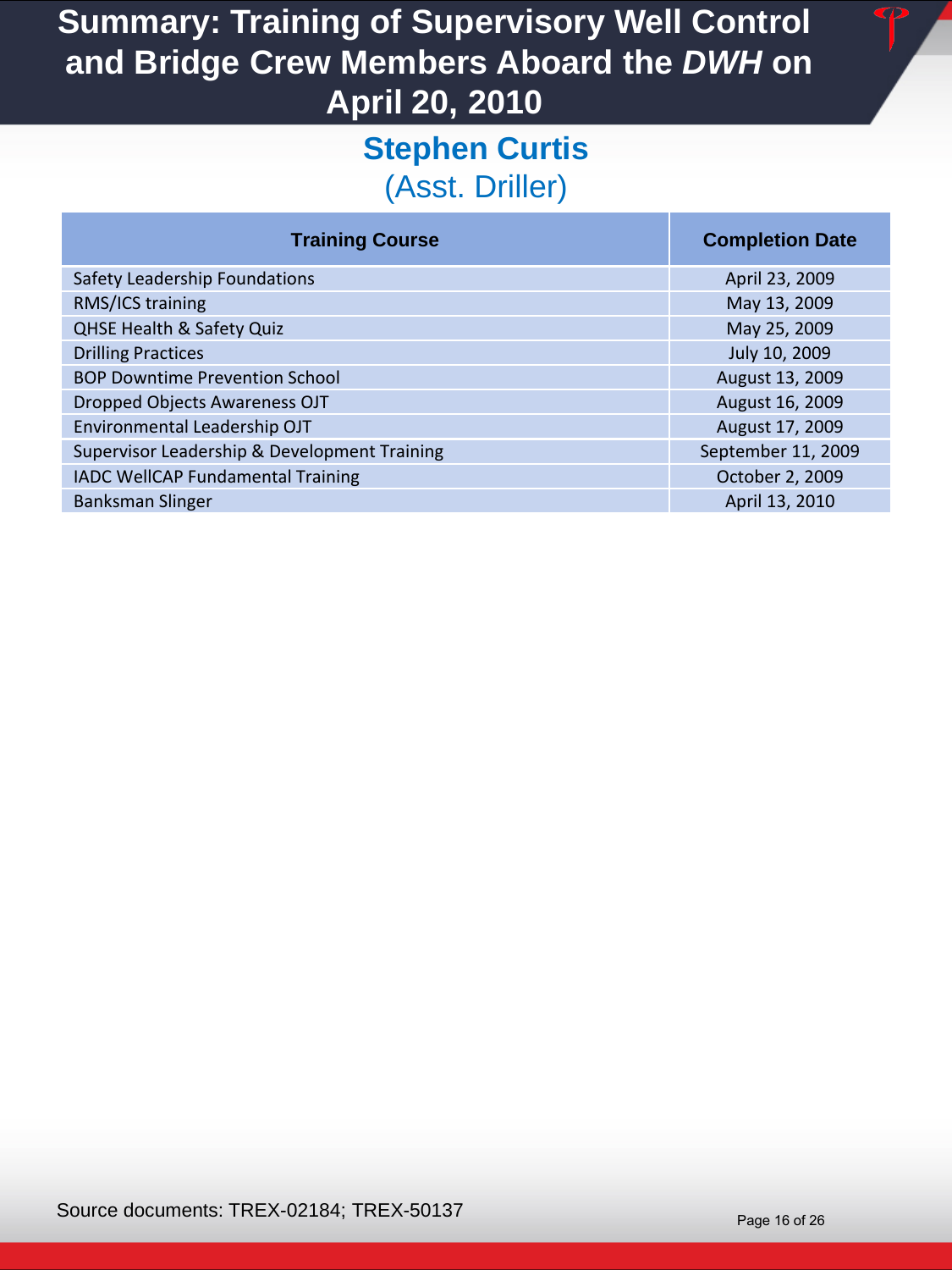### **Stephen Curtis**  (Asst. Driller)

| <b>Training Course</b>                       | <b>Completion Date</b> |
|----------------------------------------------|------------------------|
| Safety Leadership Foundations                | April 23, 2009         |
| RMS/ICS training                             | May 13, 2009           |
| <b>QHSE Health &amp; Safety Quiz</b>         | May 25, 2009           |
| <b>Drilling Practices</b>                    | July 10, 2009          |
| <b>BOP Downtime Prevention School</b>        | August 13, 2009        |
| Dropped Objects Awareness OJT                | August 16, 2009        |
| Environmental Leadership OJT                 | August 17, 2009        |
| Supervisor Leadership & Development Training | September 11, 2009     |
| IADC WellCAP Fundamental Training            | October 2, 2009        |
| <b>Banksman Slinger</b>                      | April 13, 2010         |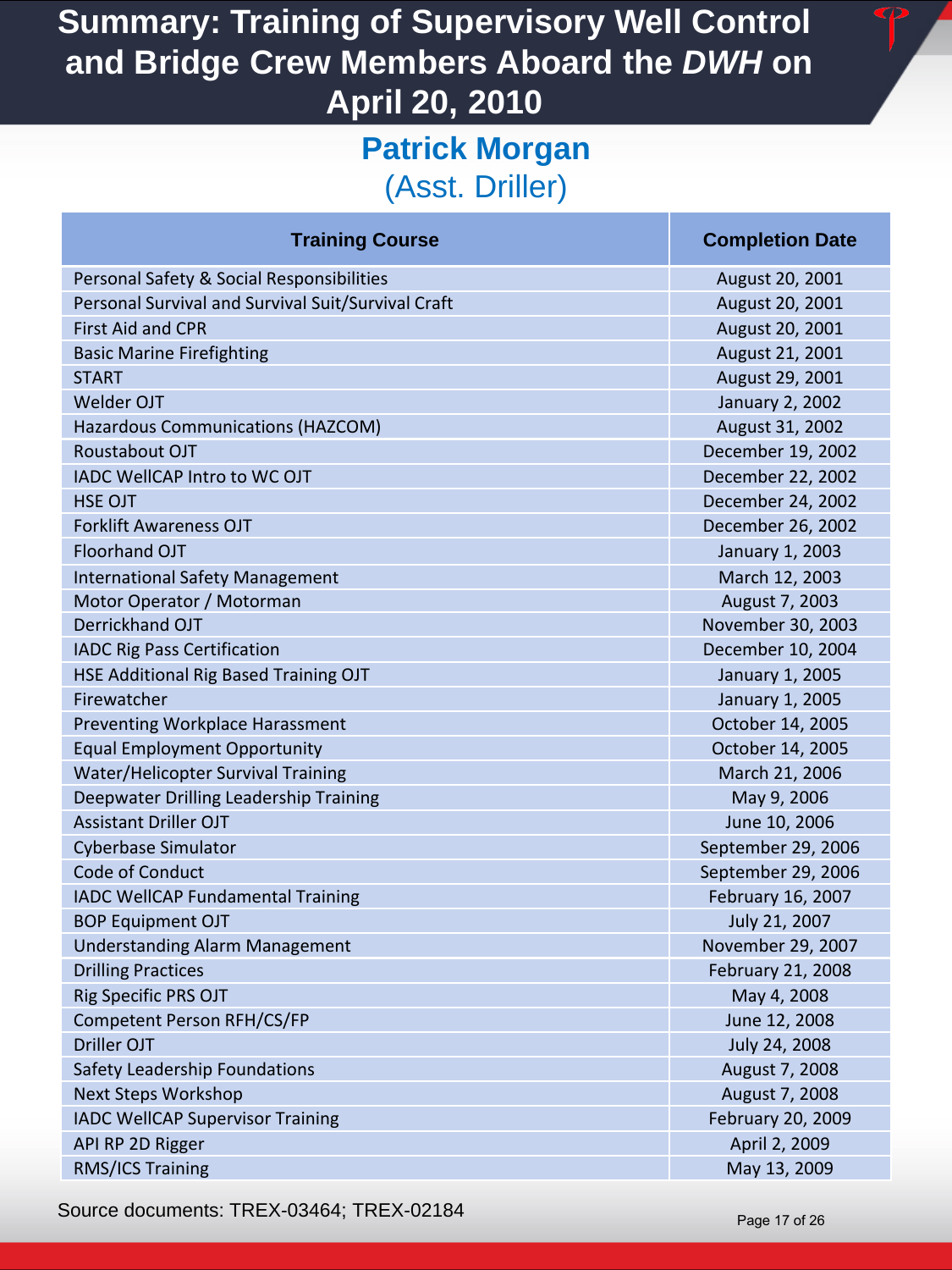### **Patrick Morgan**  (Asst. Driller)

| <b>Training Course</b>                             | <b>Completion Date</b> |
|----------------------------------------------------|------------------------|
| Personal Safety & Social Responsibilities          | August 20, 2001        |
| Personal Survival and Survival Suit/Survival Craft | August 20, 2001        |
| <b>First Aid and CPR</b>                           | August 20, 2001        |
| <b>Basic Marine Firefighting</b>                   | August 21, 2001        |
| <b>START</b>                                       | August 29, 2001        |
| <b>Welder OJT</b>                                  | January 2, 2002        |
| Hazardous Communications (HAZCOM)                  | August 31, 2002        |
| Roustabout OJT                                     | December 19, 2002      |
| <b>IADC WellCAP Intro to WC OJT</b>                | December 22, 2002      |
| <b>HSE OJT</b>                                     | December 24, 2002      |
| <b>Forklift Awareness OJT</b>                      | December 26, 2002      |
| Floorhand OJT                                      | January 1, 2003        |
| <b>International Safety Management</b>             | March 12, 2003         |
| Motor Operator / Motorman                          | August 7, 2003         |
| Derrickhand OJT                                    | November 30, 2003      |
| <b>IADC Rig Pass Certification</b>                 | December 10, 2004      |
| HSE Additional Rig Based Training OJT              | January 1, 2005        |
| Firewatcher                                        | January 1, 2005        |
| <b>Preventing Workplace Harassment</b>             | October 14, 2005       |
| <b>Equal Employment Opportunity</b>                | October 14, 2005       |
| Water/Helicopter Survival Training                 | March 21, 2006         |
| Deepwater Drilling Leadership Training             | May 9, 2006            |
| <b>Assistant Driller OJT</b>                       | June 10, 2006          |
| <b>Cyberbase Simulator</b>                         | September 29, 2006     |
| Code of Conduct                                    | September 29, 2006     |
| <b>IADC WellCAP Fundamental Training</b>           | February 16, 2007      |
| <b>BOP Equipment OJT</b>                           | July 21, 2007          |
| <b>Understanding Alarm Management</b>              | November 29, 2007      |
| <b>Drilling Practices</b>                          | February 21, 2008      |
| Rig Specific PRS OJT                               | May 4, 2008            |
| Competent Person RFH/CS/FP                         | June 12, 2008          |
| Driller OJT                                        | July 24, 2008          |
| Safety Leadership Foundations                      | August 7, 2008         |
| <b>Next Steps Workshop</b>                         | August 7, 2008         |
| <b>IADC WellCAP Supervisor Training</b>            | February 20, 2009      |
| API RP 2D Rigger                                   | April 2, 2009          |
| RMS/ICS Training                                   | May 13, 2009           |

Source documents: TREX-03464; TREX-02184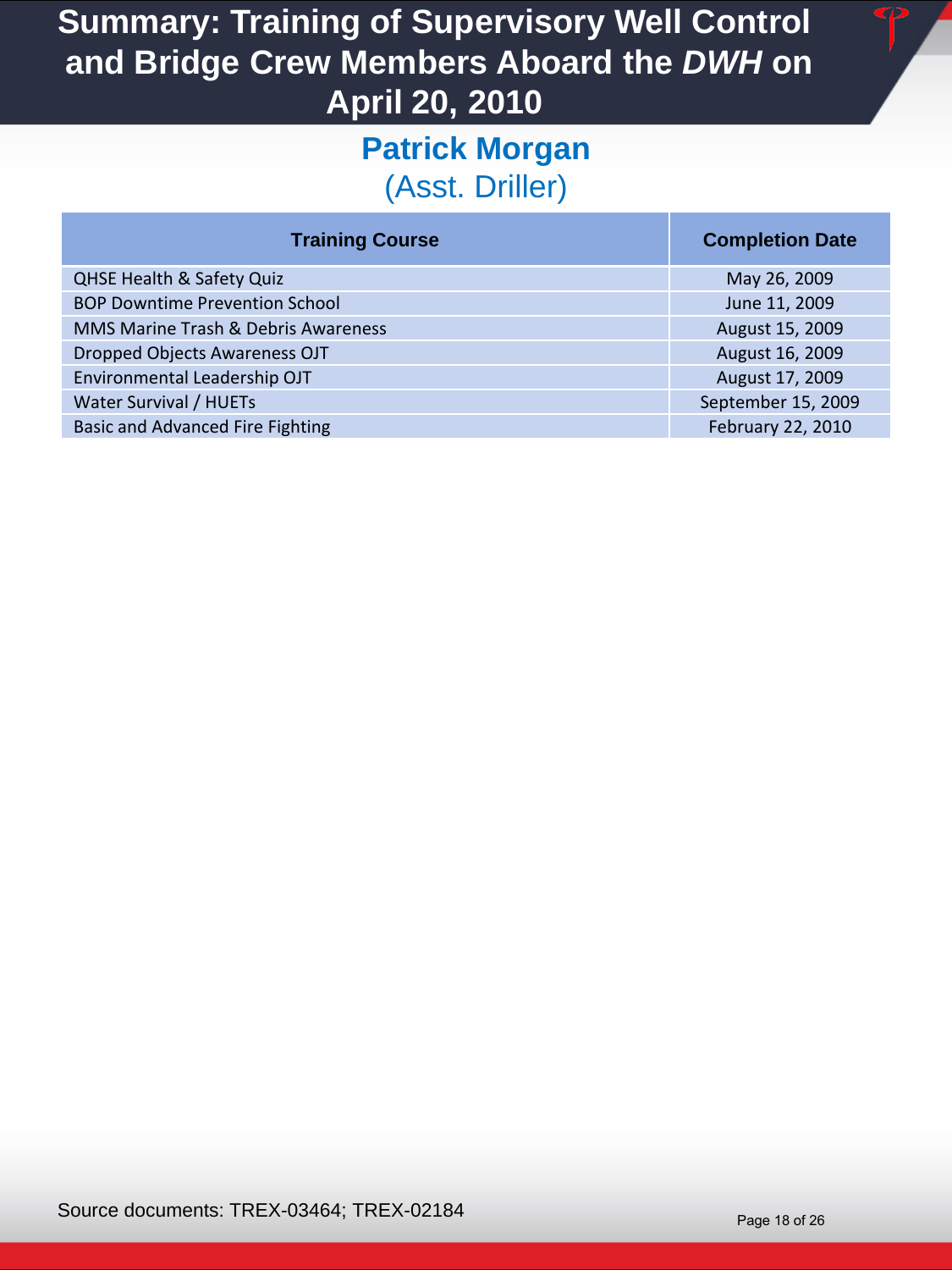#### **Patrick Morgan**  (Asst. Driller)

| <b>Training Course</b>                  | <b>Completion Date</b> |
|-----------------------------------------|------------------------|
| <b>QHSE Health &amp; Safety Quiz</b>    | May 26, 2009           |
| <b>BOP Downtime Prevention School</b>   | June 11, 2009          |
| MMS Marine Trash & Debris Awareness     | August 15, 2009        |
| Dropped Objects Awareness OJT           | August 16, 2009        |
| Environmental Leadership OJT            | August 17, 2009        |
| Water Survival / HUETs                  | September 15, 2009     |
| <b>Basic and Advanced Fire Fighting</b> | February 22, 2010      |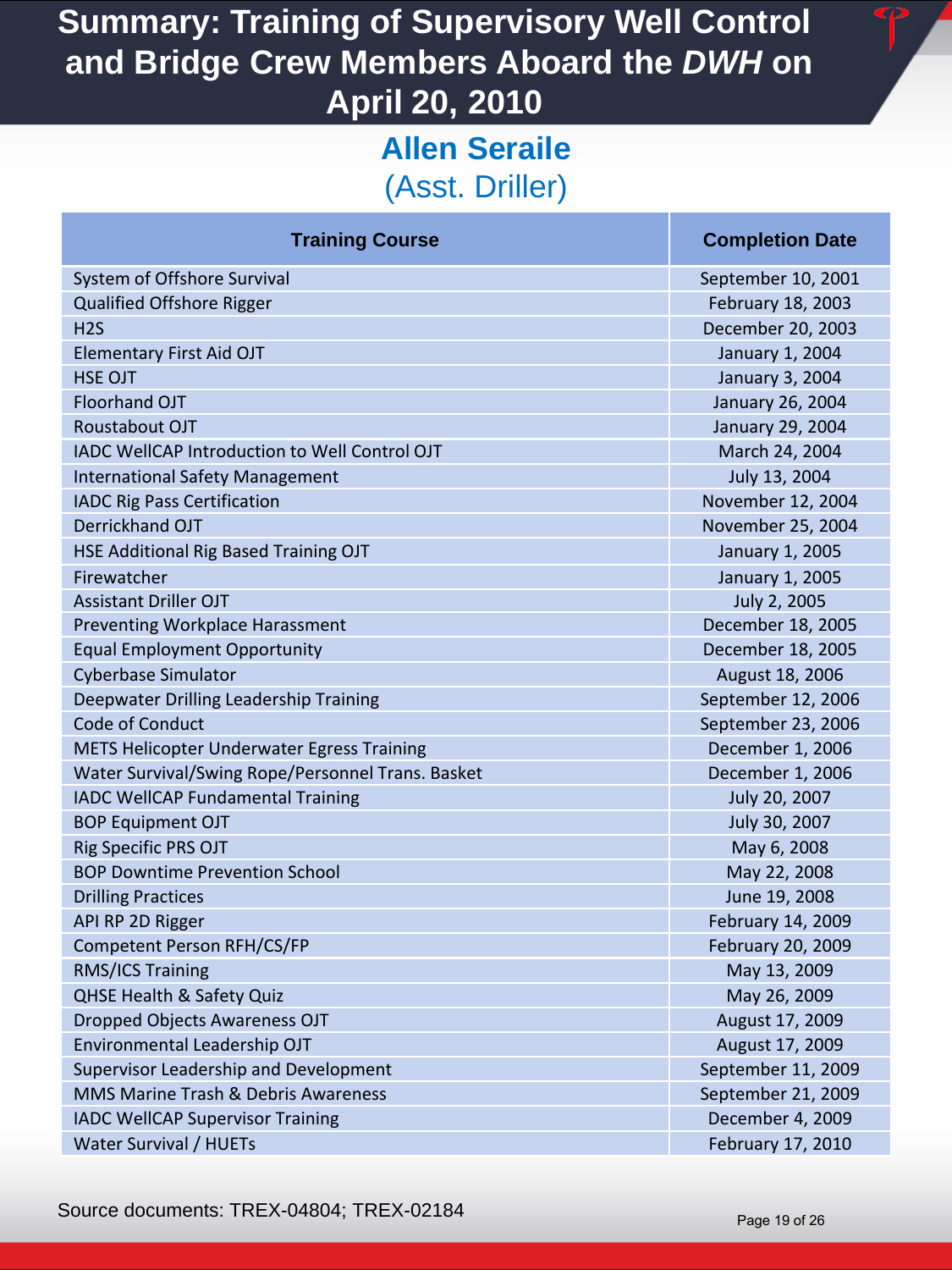## **Allen Seraile**  (Asst. Driller)

| System of Offshore Survival                       | September 10, 200  |
|---------------------------------------------------|--------------------|
| Qualified Offshore Rigger                         | February 18, 2003  |
| H <sub>2</sub> S                                  | December 20, 2003  |
| <b>Elementary First Aid OJT</b>                   | January 1, 2004    |
| <b>HSE OJT</b>                                    | January 3, 2004    |
| <b>Floorhand OJT</b>                              | January 26, 2004   |
| Roustabout OJT                                    | January 29, 2004   |
| IADC WellCAP Introduction to Well Control OJT     | March 24, 2004     |
| <b>International Safety Management</b>            | July 13, 2004      |
| <b>IADC Rig Pass Certification</b>                | November 12, 2004  |
| Derrickhand OJT                                   | November 25, 2004  |
| HSE Additional Rig Based Training OJT             | January 1, 2005    |
| Firewatcher                                       | January 1, 2005    |
| <b>Assistant Driller OJT</b>                      | July 2, 2005       |
| Preventing Workplace Harassment                   | December 18, 2005  |
| <b>Equal Employment Opportunity</b>               | December 18, 2005  |
| <b>Cyberbase Simulator</b>                        | August 18, 2006    |
| Deepwater Drilling Leadership Training            | September 12, 200  |
| Code of Conduct                                   | September 23, 200  |
| METS Helicopter Underwater Egress Training        | December 1, 2006   |
| Water Survival/Swing Rope/Personnel Trans. Basket | December 1, 2006   |
| IADC WellCAP Fundamental Training                 | July 20, 2007      |
| <b>BOP Equipment OJT</b>                          | July 30, 2007      |
| Rig Specific PRS OJT                              | May 6, 2008        |
| <b>BOP Downtime Prevention School</b>             | May 22, 2008       |
| <b>Drilling Practices</b>                         | June 19, 2008      |
| API RP 2D Rigger                                  | February 14, 2009  |
| Competent Person RFH/CS/FP                        | February 20, 2009  |
| RMS/ICS Training                                  | May 13, 2009       |
| <b>QHSE Health &amp; Safety Quiz</b>              | May 26, 2009       |
| Dropped Objects Awareness OJT                     | August 17, 2009    |
| Environmental Leadership OJT                      | August 17, 2009    |
| Supervisor Leadership and Development             | September 11, 2009 |
| MMS Marine Trash & Debris Awareness               | September 21, 2009 |
| <b>IADC WellCAP Supervisor Training</b>           | December 4, 2009   |
| Water Survival / HUETs                            | February 17, 2010  |

#### **Training Course Completion Date Completion Date**

September 10, 2001 February 18, 2003 December 20, 2003 January 1, 2004 January 3, 2004 January 26, 2004 January 29, 2004 March 24, 2004 July 13, 2004 November 12, 2004 November 25, 2004 January 1, 2005 January 1, 2005 **July 2, 2005** December 18, 2005 December 18, 2005 August 18, 2006 September 12, 2006 September 23, 2006 December 1, 2006 December 1, 2006 July 20, 2007 July 30, 2007 May 6, 2008 May 22, 2008 June 19, 2008 February 14, 2009 February 20, 2009 May 13, 2009 May 26, 2009 August 17, 2009 August 17, 2009 September 11, 2009 September 21, 2009 December 4, 2009

Source documents: TREX-04804; TREX-02184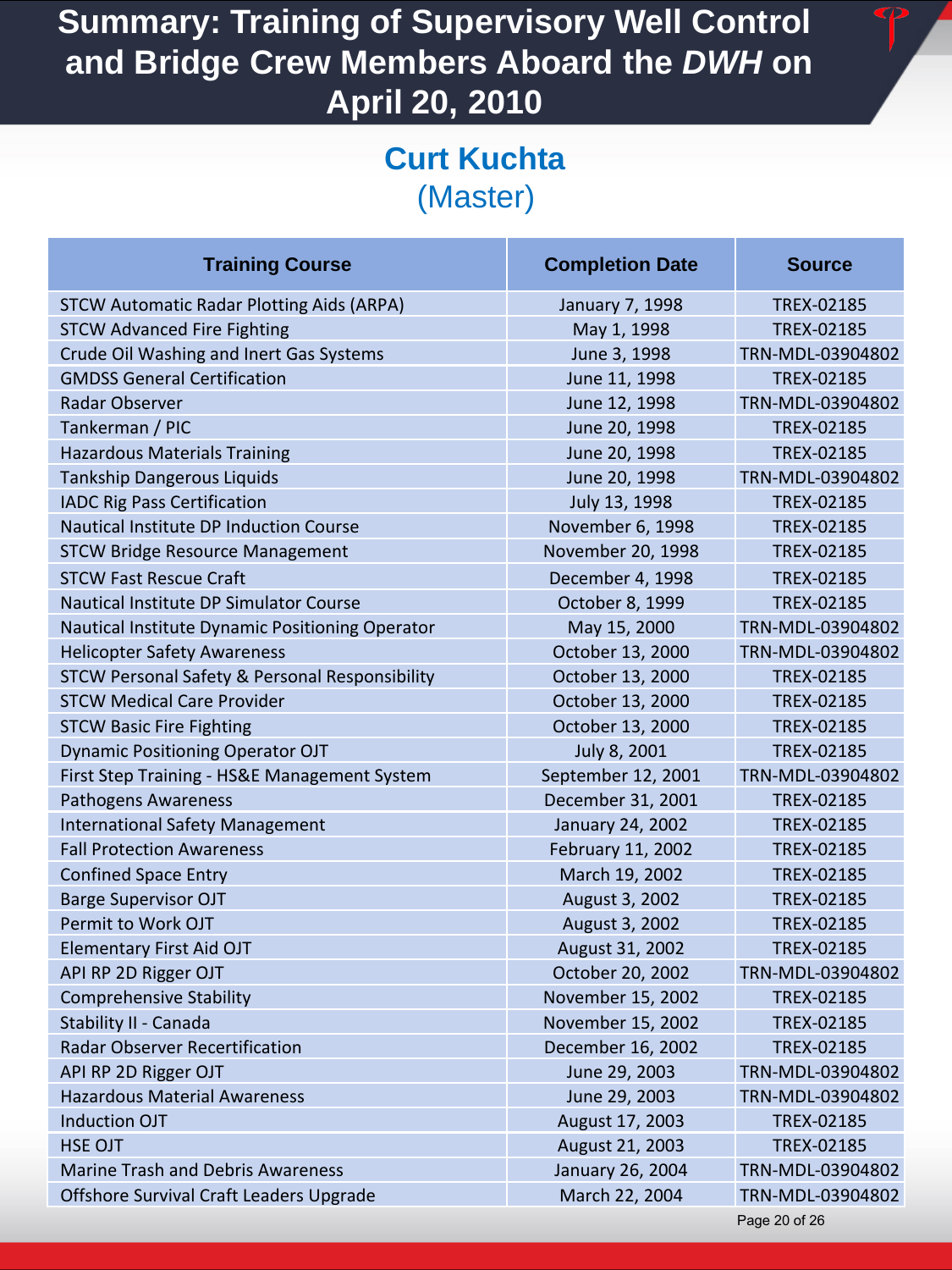#### **Curt Kuchta**  (Master)

| <b>Training Course</b>                                    | <b>Completion Date</b> | <b>Source</b>     |
|-----------------------------------------------------------|------------------------|-------------------|
| <b>STCW Automatic Radar Plotting Aids (ARPA)</b>          | January 7, 1998        | <b>TREX-02185</b> |
| <b>STCW Advanced Fire Fighting</b>                        | May 1, 1998            | TREX-02185        |
| Crude Oil Washing and Inert Gas Systems                   | June 3, 1998           | TRN-MDL-03904802  |
| <b>GMDSS General Certification</b>                        | June 11, 1998          | TREX-02185        |
| Radar Observer                                            | June 12, 1998          | TRN-MDL-03904802  |
| Tankerman / PIC                                           | June 20, 1998          | TREX-02185        |
| <b>Hazardous Materials Training</b>                       | June 20, 1998          | TREX-02185        |
| <b>Tankship Dangerous Liquids</b>                         | June 20, 1998          | TRN-MDL-03904802  |
| <b>IADC Rig Pass Certification</b>                        | July 13, 1998          | TREX-02185        |
| Nautical Institute DP Induction Course                    | November 6, 1998       | TREX-02185        |
| <b>STCW Bridge Resource Management</b>                    | November 20, 1998      | <b>TREX-02185</b> |
| <b>STCW Fast Rescue Craft</b>                             | December 4, 1998       | TREX-02185        |
| Nautical Institute DP Simulator Course                    | October 8, 1999        | TREX-02185        |
| Nautical Institute Dynamic Positioning Operator           | May 15, 2000           | TRN-MDL-03904802  |
| <b>Helicopter Safety Awareness</b>                        | October 13, 2000       | TRN-MDL-03904802  |
| <b>STCW Personal Safety &amp; Personal Responsibility</b> | October 13, 2000       | TREX-02185        |
| <b>STCW Medical Care Provider</b>                         | October 13, 2000       | <b>TREX-02185</b> |
| <b>STCW Basic Fire Fighting</b>                           | October 13, 2000       | TREX-02185        |
| <b>Dynamic Positioning Operator OJT</b>                   | July 8, 2001           | TREX-02185        |
| First Step Training - HS&E Management System              | September 12, 2001     | TRN-MDL-03904802  |
| Pathogens Awareness                                       | December 31, 2001      | TREX-02185        |
| <b>International Safety Management</b>                    | January 24, 2002       | TREX-02185        |
| <b>Fall Protection Awareness</b>                          | February 11, 2002      | <b>TREX-02185</b> |
| <b>Confined Space Entry</b>                               | March 19, 2002         | TREX-02185        |
| <b>Barge Supervisor OJT</b>                               | August 3, 2002         | TREX-02185        |
| Permit to Work OJT                                        | August 3, 2002         | TREX-02185        |
| <b>Elementary First Aid OJT</b>                           | August 31, 2002        | TREX-02185        |
| API RP 2D Rigger OJT                                      | October 20, 2002       | TRN-MDL-03904802  |
| <b>Comprehensive Stability</b>                            | November 15, 2002      | <b>TREX-02185</b> |
| Stability II - Canada                                     | November 15, 2002      | TREX-02185        |
| <b>Radar Observer Recertification</b>                     | December 16, 2002      | TREX-02185        |
| API RP 2D Rigger OJT                                      | June 29, 2003          | TRN-MDL-03904802  |
| <b>Hazardous Material Awareness</b>                       | June 29, 2003          | TRN-MDL-03904802  |
| <b>Induction OJT</b>                                      | August 17, 2003        | TREX-02185        |
| <b>HSE OJT</b>                                            | August 21, 2003        | TREX-02185        |
| <b>Marine Trash and Debris Awareness</b>                  | January 26, 2004       | TRN-MDL-03904802  |
| Offshore Survival Craft Leaders Upgrade                   | March 22, 2004         | TRN-MDL-03904802  |
|                                                           |                        | Page 20 of 26     |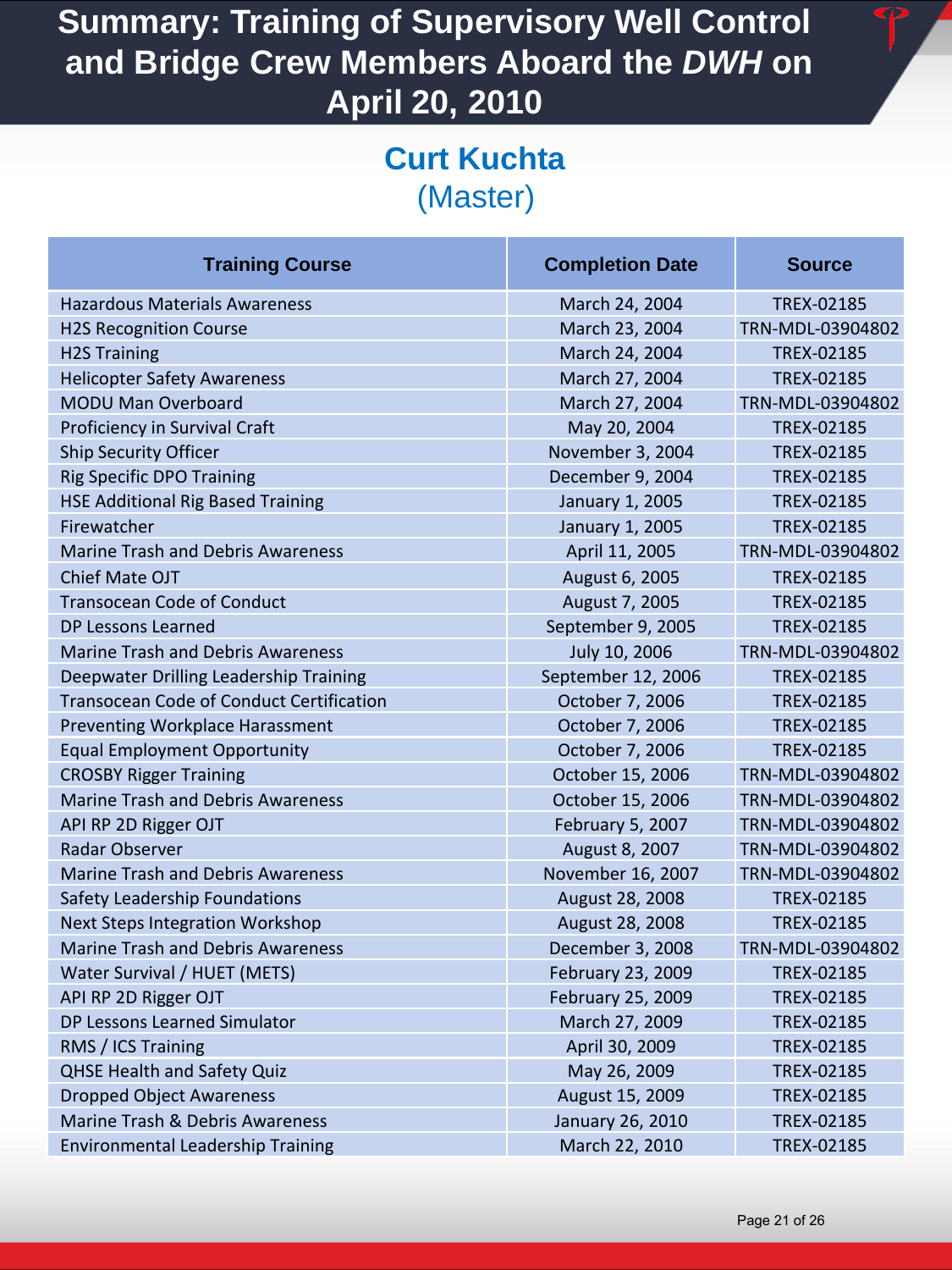#### **Curt Kuchta**  (Master)

| <b>Training Course</b>                          | <b>Completion Date</b>  | <b>Source</b>     |
|-------------------------------------------------|-------------------------|-------------------|
| <b>Hazardous Materials Awareness</b>            | March 24, 2004          | <b>TREX-02185</b> |
| <b>H2S Recognition Course</b>                   | March 23, 2004          | TRN-MDL-03904802  |
| <b>H2S Training</b>                             | March 24, 2004          | <b>TREX-02185</b> |
| <b>Helicopter Safety Awareness</b>              | March 27, 2004          | <b>TREX-02185</b> |
| MODU Man Overboard                              | March 27, 2004          | TRN-MDL-03904802  |
| Proficiency in Survival Craft                   | May 20, 2004            | TREX-02185        |
| <b>Ship Security Officer</b>                    | November 3, 2004        | TREX-02185        |
| <b>Rig Specific DPO Training</b>                | December 9, 2004        | TREX-02185        |
| <b>HSE Additional Rig Based Training</b>        | January 1, 2005         | TREX-02185        |
| Firewatcher                                     | January 1, 2005         | <b>TREX-02185</b> |
| <b>Marine Trash and Debris Awareness</b>        | April 11, 2005          | TRN-MDL-03904802  |
| <b>Chief Mate OJT</b>                           | August 6, 2005          | TREX-02185        |
| <b>Transocean Code of Conduct</b>               | August 7, 2005          | TREX-02185        |
| DP Lessons Learned                              | September 9, 2005       | TREX-02185        |
| <b>Marine Trash and Debris Awareness</b>        | July 10, 2006           | TRN-MDL-03904802  |
| Deepwater Drilling Leadership Training          | September 12, 2006      | TREX-02185        |
| <b>Transocean Code of Conduct Certification</b> | October 7, 2006         | TREX-02185        |
| Preventing Workplace Harassment                 | October 7, 2006         | <b>TREX-02185</b> |
| <b>Equal Employment Opportunity</b>             | October 7, 2006         | TREX-02185        |
| <b>CROSBY Rigger Training</b>                   | October 15, 2006        | TRN-MDL-03904802  |
| <b>Marine Trash and Debris Awareness</b>        | October 15, 2006        | TRN-MDL-03904802  |
| API RP 2D Rigger OJT                            | February 5, 2007        | TRN-MDL-03904802  |
| Radar Observer                                  | August 8, 2007          | TRN-MDL-03904802  |
| <b>Marine Trash and Debris Awareness</b>        | November 16, 2007       | TRN-MDL-03904802  |
| Safety Leadership Foundations                   | August 28, 2008         | TREX-02185        |
| <b>Next Steps Integration Workshop</b>          | August 28, 2008         | TREX-02185        |
| <b>Marine Trash and Debris Awareness</b>        | December 3, 2008        | TRN-MDL-03904802  |
| Water Survival / HUET (METS)                    | February 23, 2009       | TREX-02185        |
| API RP 2D Rigger OJT                            | February 25, 2009       | TREX-02185        |
| DP Lessons Learned Simulator                    | March 27, 2009          | TREX-02185        |
| RMS / ICS Training                              | April 30, 2009          | TREX-02185        |
| <b>QHSE Health and Safety Quiz</b>              | May 26, 2009            | TREX-02185        |
| <b>Dropped Object Awareness</b>                 | August 15, 2009         | TREX-02185        |
| Marine Trash & Debris Awareness                 | <b>January 26, 2010</b> | TREX-02185        |
| <b>Environmental Leadership Training</b>        | March 22, 2010          | TREX-02185        |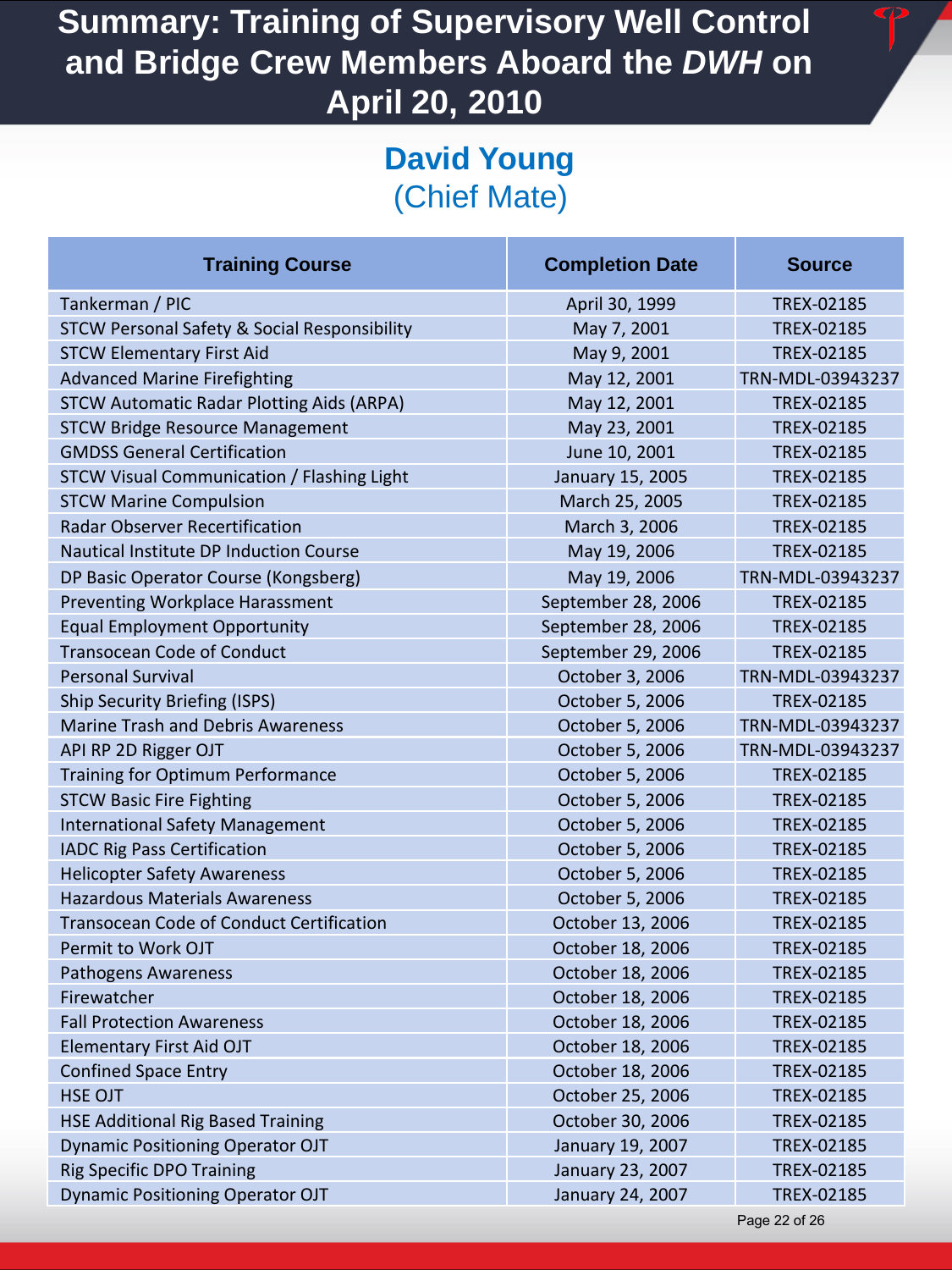# **David Young**  (Chief Mate)

| <b>Training Course</b>                                  | <b>Completion Date</b> | <b>Source</b>     |
|---------------------------------------------------------|------------------------|-------------------|
| Tankerman / PIC                                         | April 30, 1999         | TREX-02185        |
| <b>STCW Personal Safety &amp; Social Responsibility</b> | May 7, 2001            | <b>TREX-02185</b> |
| <b>STCW Elementary First Aid</b>                        | May 9, 2001            | TREX-02185        |
| <b>Advanced Marine Firefighting</b>                     | May 12, 2001           | TRN-MDL-03943237  |
| <b>STCW Automatic Radar Plotting Aids (ARPA)</b>        | May 12, 2001           | <b>TREX-02185</b> |
| <b>STCW Bridge Resource Management</b>                  | May 23, 2001           | TREX-02185        |
| <b>GMDSS General Certification</b>                      | June 10, 2001          | TREX-02185        |
| <b>STCW Visual Communication / Flashing Light</b>       | January 15, 2005       | TREX-02185        |
| <b>STCW Marine Compulsion</b>                           | March 25, 2005         | <b>TREX-02185</b> |
| <b>Radar Observer Recertification</b>                   | March 3, 2006          | TREX-02185        |
| <b>Nautical Institute DP Induction Course</b>           | May 19, 2006           | <b>TREX-02185</b> |
| DP Basic Operator Course (Kongsberg)                    | May 19, 2006           | TRN-MDL-03943237  |
| Preventing Workplace Harassment                         | September 28, 2006     | TREX-02185        |
| <b>Equal Employment Opportunity</b>                     | September 28, 2006     | TREX-02185        |
| <b>Transocean Code of Conduct</b>                       | September 29, 2006     | TREX-02185        |
| <b>Personal Survival</b>                                | October 3, 2006        | TRN-MDL-03943237  |
| <b>Ship Security Briefing (ISPS)</b>                    | October 5, 2006        | <b>TREX-02185</b> |
| <b>Marine Trash and Debris Awareness</b>                | October 5, 2006        | TRN-MDL-03943237  |
| API RP 2D Rigger OJT                                    | October 5, 2006        | TRN-MDL-03943237  |
| Training for Optimum Performance                        | October 5, 2006        | TREX-02185        |
| <b>STCW Basic Fire Fighting</b>                         | October 5, 2006        | TREX-02185        |
| <b>International Safety Management</b>                  | October 5, 2006        | TREX-02185        |
| <b>IADC Rig Pass Certification</b>                      | October 5, 2006        | <b>TREX-02185</b> |
| <b>Helicopter Safety Awareness</b>                      | October 5, 2006        | TREX-02185        |
| <b>Hazardous Materials Awareness</b>                    | October 5, 2006        | TREX-02185        |
| <b>Transocean Code of Conduct Certification</b>         | October 13, 2006       | TREX-02185        |
| Permit to Work OJT                                      | October 18, 2006       | TREX-02185        |
| <b>Pathogens Awareness</b>                              | October 18, 2006       | <b>TREX-02185</b> |
| Firewatcher                                             | October 18, 2006       | TREX-02185        |
| <b>Fall Protection Awareness</b>                        | October 18, 2006       | <b>TREX-02185</b> |
| <b>Elementary First Aid OJT</b>                         | October 18, 2006       | <b>TREX-02185</b> |
| <b>Confined Space Entry</b>                             | October 18, 2006       | TREX-02185        |
| <b>HSE OJT</b>                                          | October 25, 2006       | TREX-02185        |
| <b>HSE Additional Rig Based Training</b>                | October 30, 2006       | TREX-02185        |
| <b>Dynamic Positioning Operator OJT</b>                 | January 19, 2007       | TREX-02185        |
| <b>Rig Specific DPO Training</b>                        | January 23, 2007       | TREX-02185        |
| <b>Dynamic Positioning Operator OJT</b>                 | January 24, 2007       | TREX-02185        |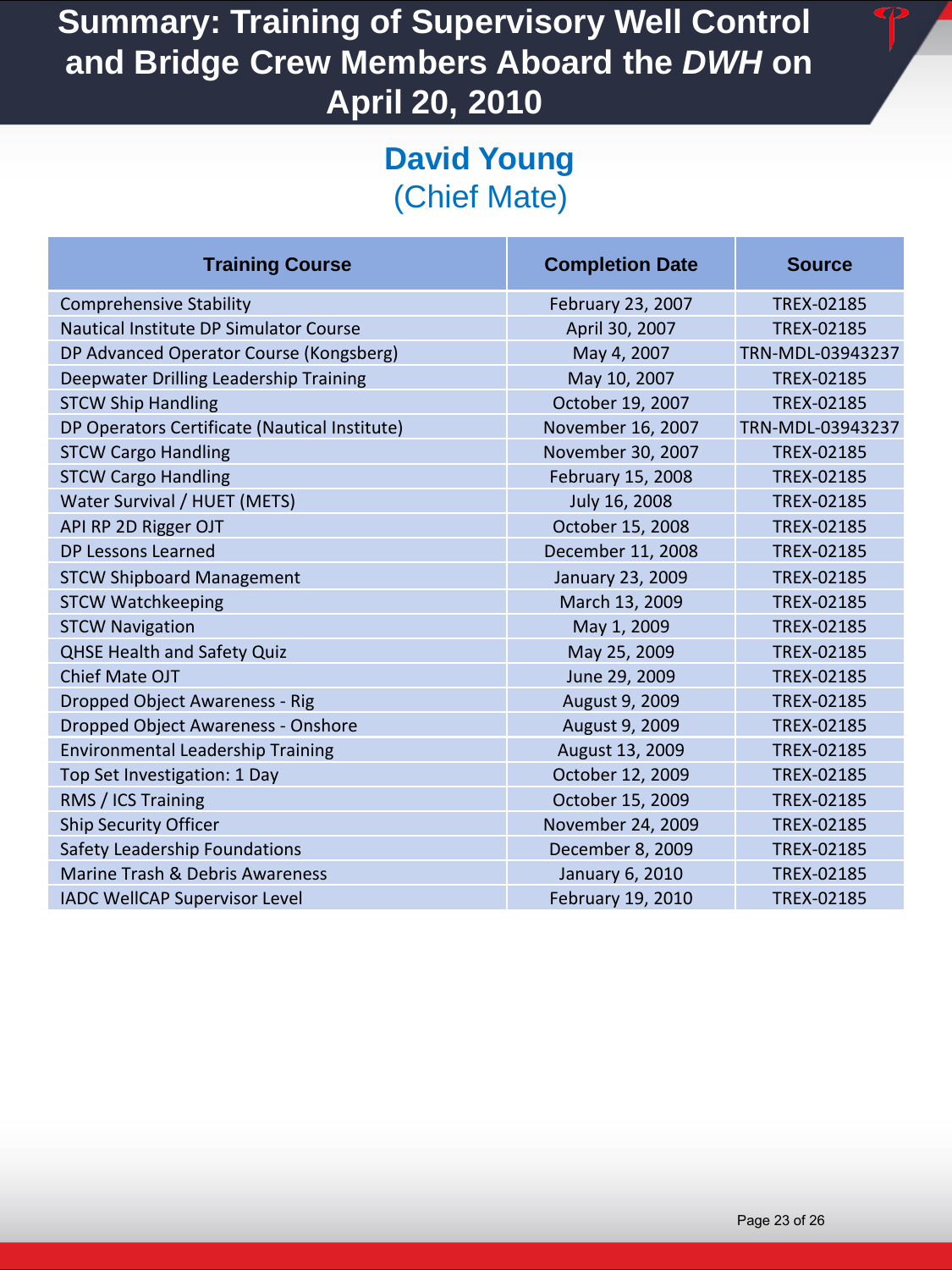## **David Young**  (Chief Mate)

| <b>Training Course</b>                        | <b>Completion Date</b> | <b>Source</b>     |
|-----------------------------------------------|------------------------|-------------------|
| <b>Comprehensive Stability</b>                | February 23, 2007      | TREX-02185        |
| Nautical Institute DP Simulator Course        | April 30, 2007         | TREX-02185        |
| DP Advanced Operator Course (Kongsberg)       | May 4, 2007            | TRN-MDL-03943237  |
| Deepwater Drilling Leadership Training        | May 10, 2007           | TREX-02185        |
| <b>STCW Ship Handling</b>                     | October 19, 2007       | TREX-02185        |
| DP Operators Certificate (Nautical Institute) | November 16, 2007      | TRN-MDL-03943237  |
| <b>STCW Cargo Handling</b>                    | November 30, 2007      | TREX-02185        |
| <b>STCW Cargo Handling</b>                    | February 15, 2008      | TREX-02185        |
| Water Survival / HUET (METS)                  | July 16, 2008          | TREX-02185        |
| API RP 2D Rigger OJT                          | October 15, 2008       | TREX-02185        |
| <b>DP Lessons Learned</b>                     | December 11, 2008      | TREX-02185        |
| <b>STCW Shipboard Management</b>              | January 23, 2009       | TREX-02185        |
| <b>STCW Watchkeeping</b>                      | March 13, 2009         | TREX-02185        |
| <b>STCW Navigation</b>                        | May 1, 2009            | TREX-02185        |
| <b>QHSE Health and Safety Quiz</b>            | May 25, 2009           | <b>TREX-02185</b> |
| Chief Mate OJT                                | June 29, 2009          | TREX-02185        |
| Dropped Object Awareness - Rig                | August 9, 2009         | TREX-02185        |
| Dropped Object Awareness - Onshore            | August 9, 2009         | TREX-02185        |
| <b>Environmental Leadership Training</b>      | August 13, 2009        | TREX-02185        |
| Top Set Investigation: 1 Day                  | October 12, 2009       | TREX-02185        |
| RMS / ICS Training                            | October 15, 2009       | TREX-02185        |
| <b>Ship Security Officer</b>                  | November 24, 2009      | TREX-02185        |
| Safety Leadership Foundations                 | December 8, 2009       | TREX-02185        |
| Marine Trash & Debris Awareness               | January 6, 2010        | TREX-02185        |
| <b>IADC WellCAP Supervisor Level</b>          | February 19, 2010      | <b>TREX-02185</b> |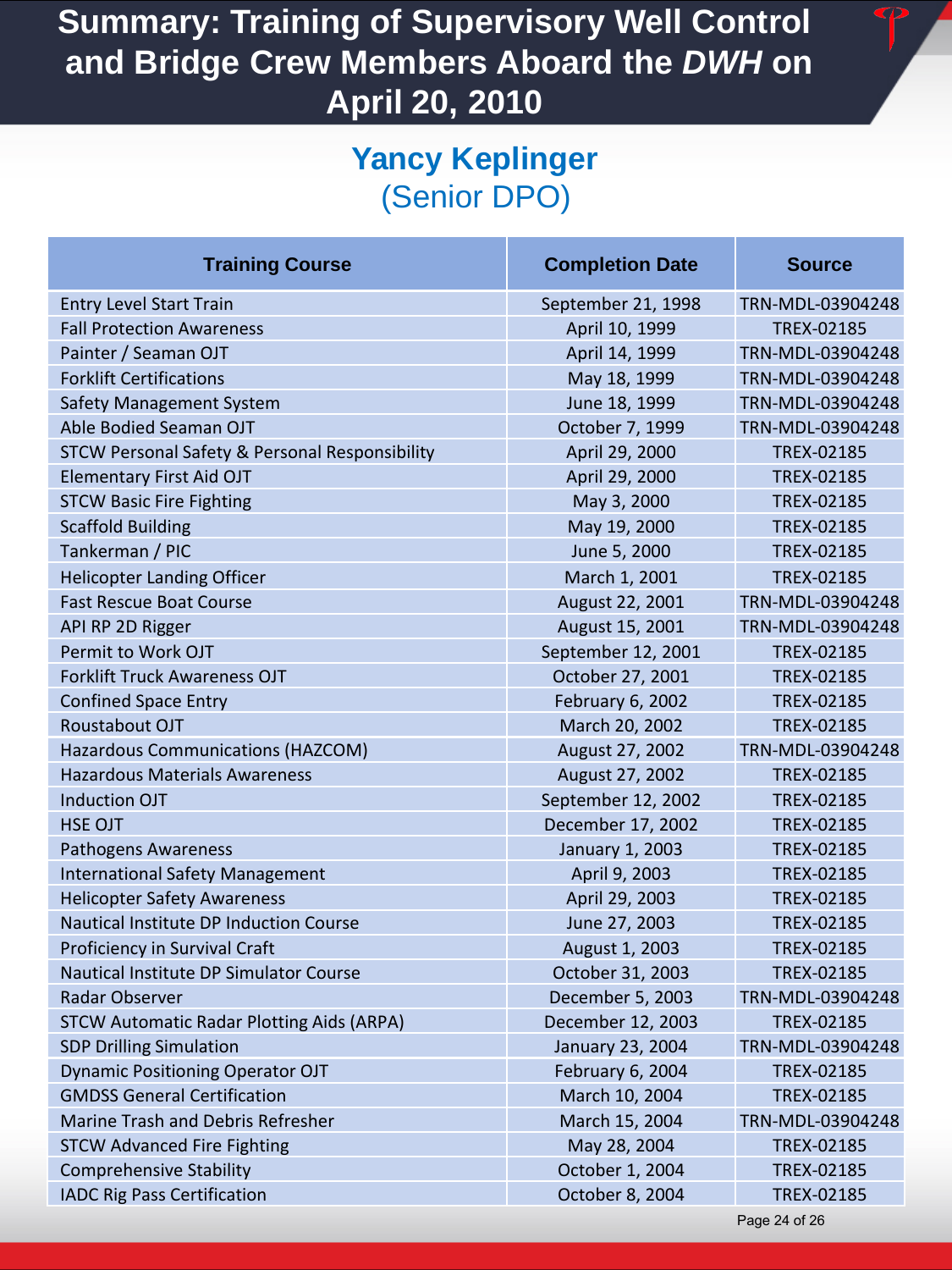# **Yancy Keplinger**  (Senior DPO)

| <b>Training Course</b>                                    | <b>Completion Date</b> | <b>Source</b>     |
|-----------------------------------------------------------|------------------------|-------------------|
| <b>Entry Level Start Train</b>                            | September 21, 1998     | TRN-MDL-03904248  |
| <b>Fall Protection Awareness</b>                          | April 10, 1999         | TREX-02185        |
| Painter / Seaman OJT                                      | April 14, 1999         | TRN-MDL-03904248  |
| <b>Forklift Certifications</b>                            | May 18, 1999           | TRN-MDL-03904248  |
| <b>Safety Management System</b>                           | June 18, 1999          | TRN-MDL-03904248  |
| Able Bodied Seaman OJT                                    | October 7, 1999        | TRN-MDL-03904248  |
| <b>STCW Personal Safety &amp; Personal Responsibility</b> | April 29, 2000         | TREX-02185        |
| <b>Elementary First Aid OJT</b>                           | April 29, 2000         | TREX-02185        |
| <b>STCW Basic Fire Fighting</b>                           | May 3, 2000            | TREX-02185        |
| <b>Scaffold Building</b>                                  | May 19, 2000           | TREX-02185        |
| Tankerman / PIC                                           | June 5, 2000           | TREX-02185        |
| <b>Helicopter Landing Officer</b>                         | March 1, 2001          | TREX-02185        |
| <b>Fast Rescue Boat Course</b>                            | August 22, 2001        | TRN-MDL-03904248  |
| API RP 2D Rigger                                          | August 15, 2001        | TRN-MDL-03904248  |
| Permit to Work OJT                                        | September 12, 2001     | TREX-02185        |
| <b>Forklift Truck Awareness OJT</b>                       | October 27, 2001       | TREX-02185        |
| <b>Confined Space Entry</b>                               | February 6, 2002       | <b>TREX-02185</b> |
| Roustabout OJT                                            | March 20, 2002         | TREX-02185        |
| <b>Hazardous Communications (HAZCOM)</b>                  | August 27, 2002        | TRN-MDL-03904248  |
| <b>Hazardous Materials Awareness</b>                      | August 27, 2002        | TREX-02185        |
| <b>Induction OJT</b>                                      | September 12, 2002     | TREX-02185        |
| <b>HSE OJT</b>                                            | December 17, 2002      | TREX-02185        |
| Pathogens Awareness                                       | January 1, 2003        | <b>TREX-02185</b> |
| <b>International Safety Management</b>                    | April 9, 2003          | <b>TREX-02185</b> |
| <b>Helicopter Safety Awareness</b>                        | April 29, 2003         | TREX-02185        |
| <b>Nautical Institute DP Induction Course</b>             | June 27, 2003          | TREX-02185        |
| <b>Proficiency in Survival Craft</b>                      | August 1, 2003         | TREX-02185        |
| Nautical Institute DP Simulator Course                    | October 31, 2003       | TREX-02185        |
| <b>Radar Observer</b>                                     | December 5, 2003       | TRN-MDL-03904248  |
| <b>STCW Automatic Radar Plotting Aids (ARPA)</b>          | December 12, 2003      | TREX-02185        |
| <b>SDP Drilling Simulation</b>                            | January 23, 2004       | TRN-MDL-03904248  |
| <b>Dynamic Positioning Operator OJT</b>                   | February 6, 2004       | TREX-02185        |
| <b>GMDSS General Certification</b>                        | March 10, 2004         | TREX-02185        |
| Marine Trash and Debris Refresher                         | March 15, 2004         | TRN-MDL-03904248  |
| <b>STCW Advanced Fire Fighting</b>                        | May 28, 2004           | TREX-02185        |
| <b>Comprehensive Stability</b>                            | October 1, 2004        | TREX-02185        |
| <b>IADC Rig Pass Certification</b>                        | October 8, 2004        | TREX-02185        |
|                                                           |                        | Page 24 of 26     |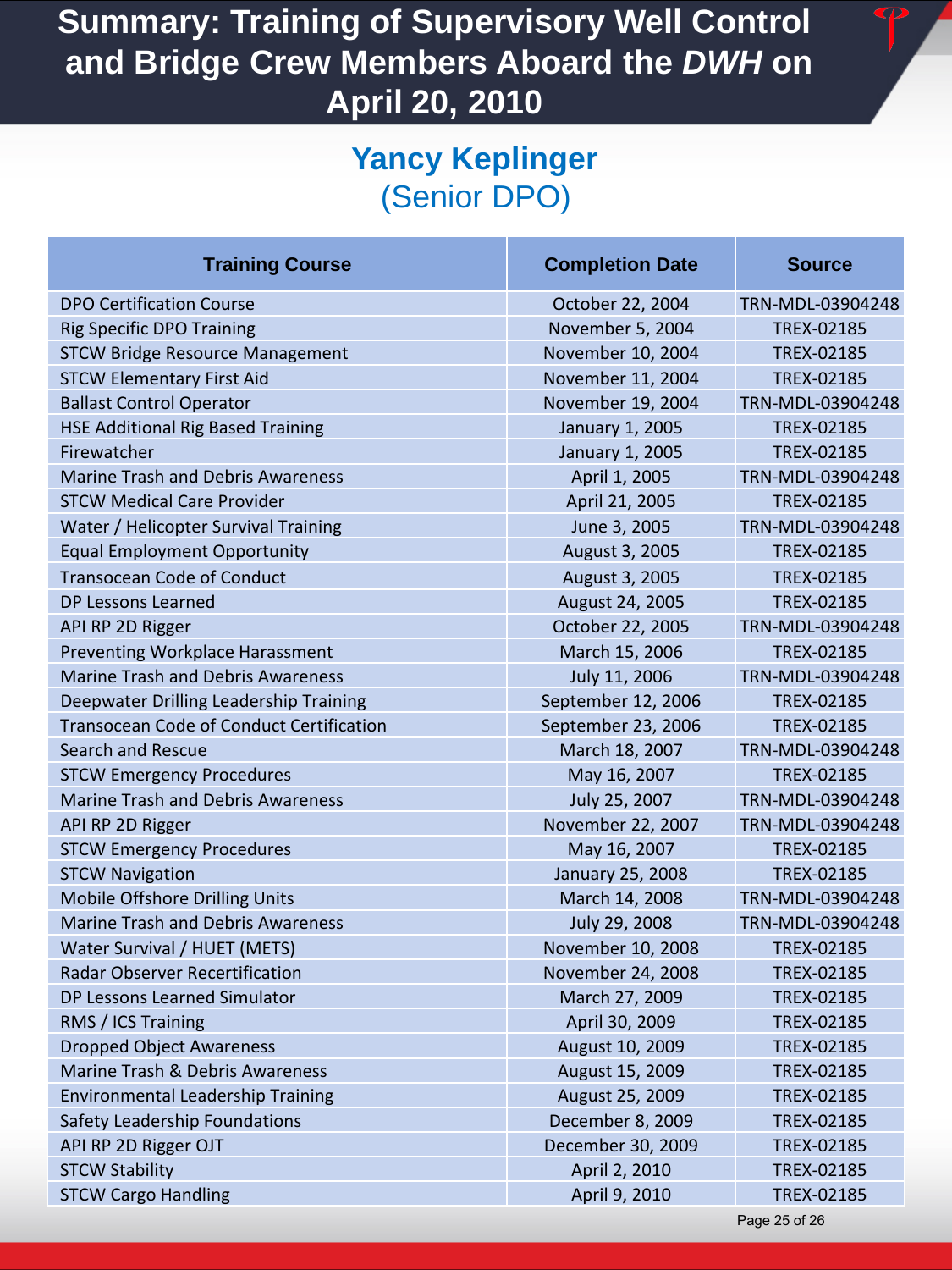# **Yancy Keplinger**  (Senior DPO)

| <b>Training Course</b>                          | <b>Completion Date</b> | <b>Source</b>     |
|-------------------------------------------------|------------------------|-------------------|
| <b>DPO Certification Course</b>                 | October 22, 2004       | TRN-MDL-03904248  |
| <b>Rig Specific DPO Training</b>                | November 5, 2004       | TREX-02185        |
| <b>STCW Bridge Resource Management</b>          | November 10, 2004      | TREX-02185        |
| <b>STCW Elementary First Aid</b>                | November 11, 2004      | TREX-02185        |
| <b>Ballast Control Operator</b>                 | November 19, 2004      | TRN-MDL-03904248  |
| <b>HSE Additional Rig Based Training</b>        | January 1, 2005        | <b>TREX-02185</b> |
| Firewatcher                                     | January 1, 2005        | TREX-02185        |
| <b>Marine Trash and Debris Awareness</b>        | April 1, 2005          | TRN-MDL-03904248  |
| <b>STCW Medical Care Provider</b>               | April 21, 2005         | TREX-02185        |
| Water / Helicopter Survival Training            | June 3, 2005           | TRN-MDL-03904248  |
| <b>Equal Employment Opportunity</b>             | August 3, 2005         | TREX-02185        |
| <b>Transocean Code of Conduct</b>               | August 3, 2005         | TREX-02185        |
| <b>DP Lessons Learned</b>                       | August 24, 2005        | TREX-02185        |
| API RP 2D Rigger                                | October 22, 2005       | TRN-MDL-03904248  |
| Preventing Workplace Harassment                 | March 15, 2006         | <b>TREX-02185</b> |
| <b>Marine Trash and Debris Awareness</b>        | July 11, 2006          | TRN-MDL-03904248  |
| Deepwater Drilling Leadership Training          | September 12, 2006     | <b>TREX-02185</b> |
| <b>Transocean Code of Conduct Certification</b> | September 23, 2006     | <b>TREX-02185</b> |
| Search and Rescue                               | March 18, 2007         | TRN-MDL-03904248  |
| <b>STCW Emergency Procedures</b>                | May 16, 2007           | TREX-02185        |
| <b>Marine Trash and Debris Awareness</b>        | July 25, 2007          | TRN-MDL-03904248  |
| API RP 2D Rigger                                | November 22, 2007      | TRN-MDL-03904248  |
| <b>STCW Emergency Procedures</b>                | May 16, 2007           | <b>TREX-02185</b> |
| <b>STCW Navigation</b>                          | January 25, 2008       | <b>TREX-02185</b> |
| Mobile Offshore Drilling Units                  | March 14, 2008         | TRN-MDL-03904248  |
| <b>Marine Trash and Debris Awareness</b>        | July 29, 2008          | TRN-MDL-03904248  |
| Water Survival / HUET (METS)                    | November 10, 2008      | TREX-02185        |
| <b>Radar Observer Recertification</b>           | November 24, 2008      | TREX-02185        |
| DP Lessons Learned Simulator                    | March 27, 2009         | TREX-02185        |
| RMS / ICS Training                              | April 30, 2009         | TREX-02185        |
| <b>Dropped Object Awareness</b>                 | August 10, 2009        | TREX-02185        |
| Marine Trash & Debris Awareness                 | August 15, 2009        | TREX-02185        |
| <b>Environmental Leadership Training</b>        | August 25, 2009        | TREX-02185        |
| Safety Leadership Foundations                   | December 8, 2009       | TREX-02185        |
| API RP 2D Rigger OJT                            | December 30, 2009      | TREX-02185        |
| <b>STCW Stability</b>                           | April 2, 2010          | TREX-02185        |
| <b>STCW Cargo Handling</b>                      | April 9, 2010          | TREX-02185        |
|                                                 |                        | Page 25 of 26     |